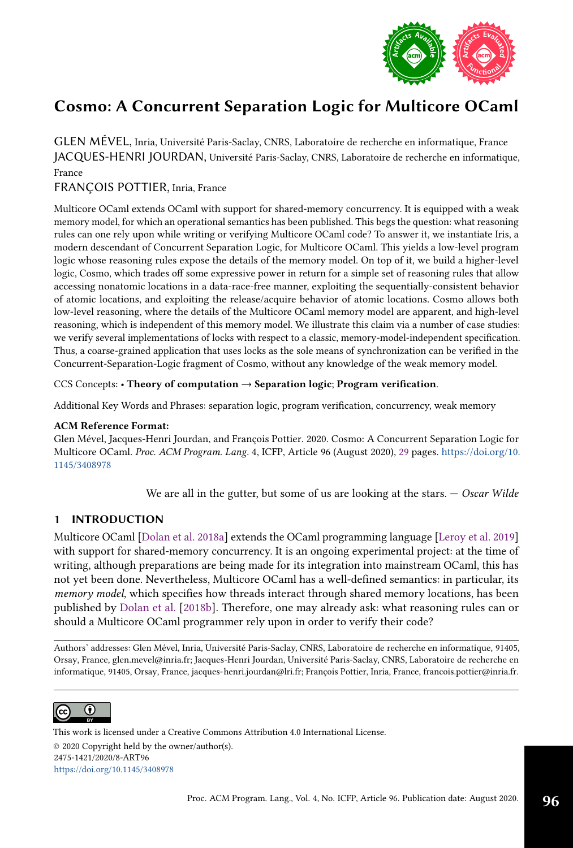

GLEN MÉVEL, Inria, Université Paris-Saclay, CNRS, Laboratoire de recherche en informatique, France JACQUES-HENRI JOURDAN, Université Paris-Saclay, CNRS, Laboratoire de recherche en informatique, France

# FRANÇOIS POTTIER, Inria, France

Multicore OCaml extends OCaml with support for shared-memory concurrency. It is equipped with a weak memory model, for which an operational semantics has been published. This begs the question: what reasoning rules can one rely upon while writing or verifying Multicore OCaml code? To answer it, we instantiate Iris, a modern descendant of Concurrent Separation Logic, for Multicore OCaml. This yields a low-level program logic whose reasoning rules expose the details of the memory model. On top of it, we build a higher-level logic, Cosmo, which trades off some expressive power in return for a simple set of reasoning rules that allow accessing nonatomic locations in a data-race-free manner, exploiting the sequentially-consistent behavior of atomic locations, and exploiting the release/acquire behavior of atomic locations. Cosmo allows both low-level reasoning, where the details of the Multicore OCaml memory model are apparent, and high-level reasoning, which is independent of this memory model. We illustrate this claim via a number of case studies: we verify several implementations of locks with respect to a classic, memory-model-independent specification. Thus, a coarse-grained application that uses locks as the sole means of synchronization can be verified in the Concurrent-Separation-Logic fragment of Cosmo, without any knowledge of the weak memory model.

# CCS Concepts: • Theory of computation  $\rightarrow$  Separation logic; Program verification.

Additional Key Words and Phrases: separation logic, program verification, concurrency, weak memory

# ACM Reference Format:

Glen Mével, Jacques-Henri Jourdan, and François Pottier. 2020. Cosmo: A Concurrent Separation Logic for Multicore OCaml. Proc. ACM Program. Lang. 4, ICFP, Article 96 (August 2020), [29](#page-28-0) pages. [https://doi.org/10.](https://doi.org/10.1145/3408978) [1145/3408978](https://doi.org/10.1145/3408978)

We are all in the gutter, but some of us are looking at the stars.  $-$  Oscar Wilde

# <span id="page-0-0"></span>1 INTRODUCTION

Multicore OCaml [\[Dolan et al.](#page-27-0) [2018a\]](#page-27-0) extends the OCaml programming language [\[Leroy et al.](#page-27-1) [2019\]](#page-27-1) with support for shared-memory concurrency. It is an ongoing experimental project: at the time of writing, although preparations are being made for its integration into mainstream OCaml, this has not yet been done. Nevertheless, Multicore OCaml has a well-defined semantics: in particular, its memory model, which specifies how threads interact through shared memory locations, has been published by [Dolan et al.](#page-27-2) [\[2018b\]](#page-27-2). Therefore, one may already ask: what reasoning rules can or should a Multicore OCaml programmer rely upon in order to verify their code?

Authors' addresses: Glen Mével, Inria, Université Paris-Saclay, CNRS, Laboratoire de recherche en informatique, 91405, Orsay, France, glen.mevel@inria.fr; Jacques-Henri Jourdan, Université Paris-Saclay, CNRS, Laboratoire de recherche en informatique, 91405, Orsay, France, jacques-henri.jourdan@lri.fr; François Pottier, Inria, France, francois.pottier@inria.fr.



This work is licensed under a Creative Commons Attribution 4.0 International License. © 2020 Copyright held by the owner/author(s). 2475-1421/2020/8-ART96 <https://doi.org/10.1145/3408978>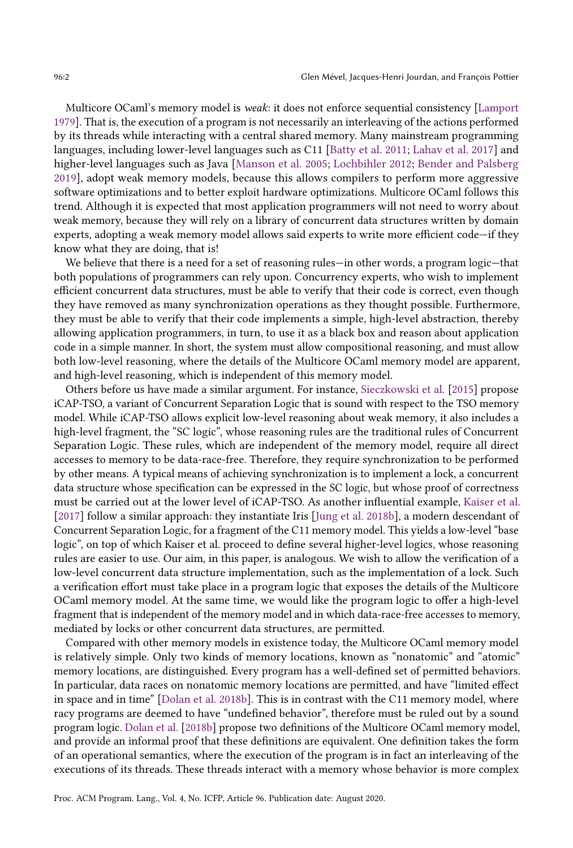Multicore OCaml's memory model is *weak*: it does not enforce sequential consistency [\[Lamport](#page-27-3) [1979\]](#page-27-3). That is, the execution of a program is not necessarily an interleaving of the actions performed by its threads while interacting with a central shared memory. Many mainstream programming languages, including lower-level languages such as C11 [\[Batty et al.](#page-27-4) [2011;](#page-27-4) [Lahav et al.](#page-27-5) [2017\]](#page-27-5) and higher-level languages such as Java [\[Manson et al.](#page-28-1) [2005;](#page-28-1) [Lochbihler 2012;](#page-27-6) [Bender and Palsberg](#page-27-7) [2019\]](#page-27-7), adopt weak memory models, because this allows compilers to perform more aggressive software optimizations and to better exploit hardware optimizations. Multicore OCaml follows this trend. Although it is expected that most application programmers will not need to worry about weak memory, because they will rely on a library of concurrent data structures written by domain experts, adopting a weak memory model allows said experts to write more efficient code—if they know what they are doing, that is!

We believe that there is a need for a set of reasoning rules—in other words, a program logic—that both populations of programmers can rely upon. Concurrency experts, who wish to implement efficient concurrent data structures, must be able to verify that their code is correct, even though they have removed as many synchronization operations as they thought possible. Furthermore, they must be able to verify that their code implements a simple, high-level abstraction, thereby allowing application programmers, in turn, to use it as a black box and reason about application code in a simple manner. In short, the system must allow compositional reasoning, and must allow both low-level reasoning, where the details of the Multicore OCaml memory model are apparent, and high-level reasoning, which is independent of this memory model.

Others before us have made a similar argument. For instance, [Sieczkowski et al.](#page-28-2) [\[2015\]](#page-28-2) propose iCAP-TSO, a variant of Concurrent Separation Logic that is sound with respect to the TSO memory model. While iCAP-TSO allows explicit low-level reasoning about weak memory, it also includes a high-level fragment, the "SC logic", whose reasoning rules are the traditional rules of Concurrent Separation Logic. These rules, which are independent of the memory model, require all direct accesses to memory to be data-race-free. Therefore, they require synchronization to be performed by other means. A typical means of achieving synchronization is to implement a lock, a concurrent data structure whose specification can be expressed in the SC logic, but whose proof of correctness must be carried out at the lower level of iCAP-TSO. As another influential example, [Kaiser et al.](#page-27-8) [\[2017\]](#page-27-8) follow a similar approach: they instantiate Iris [\[Jung et al. 2018b\]](#page-27-9), a modern descendant of Concurrent Separation Logic, for a fragment of the C11 memory model. This yields a low-level "base logic", on top of which Kaiser et al. proceed to define several higher-level logics, whose reasoning rules are easier to use. Our aim, in this paper, is analogous. We wish to allow the verification of a low-level concurrent data structure implementation, such as the implementation of a lock. Such a verification effort must take place in a program logic that exposes the details of the Multicore OCaml memory model. At the same time, we would like the program logic to offer a high-level fragment that is independent of the memory model and in which data-race-free accesses to memory, mediated by locks or other concurrent data structures, are permitted.

Compared with other memory models in existence today, the Multicore OCaml memory model is relatively simple. Only two kinds of memory locations, known as "nonatomic" and "atomic" memory locations, are distinguished. Every program has a well-defined set of permitted behaviors. In particular, data races on nonatomic memory locations are permitted, and have "limited effect in space and in timež [\[Dolan et al.](#page-27-2) [2018b\]](#page-27-2). This is in contrast with the C11 memory model, where racy programs are deemed to have "undefined behavior", therefore must be ruled out by a sound program logic. [Dolan et al.](#page-27-2) [\[2018b\]](#page-27-2) propose two definitions of the Multicore OCaml memory model, and provide an informal proof that these definitions are equivalent. One definition takes the form of an operational semantics, where the execution of the program is in fact an interleaving of the executions of its threads. These threads interact with a memory whose behavior is more complex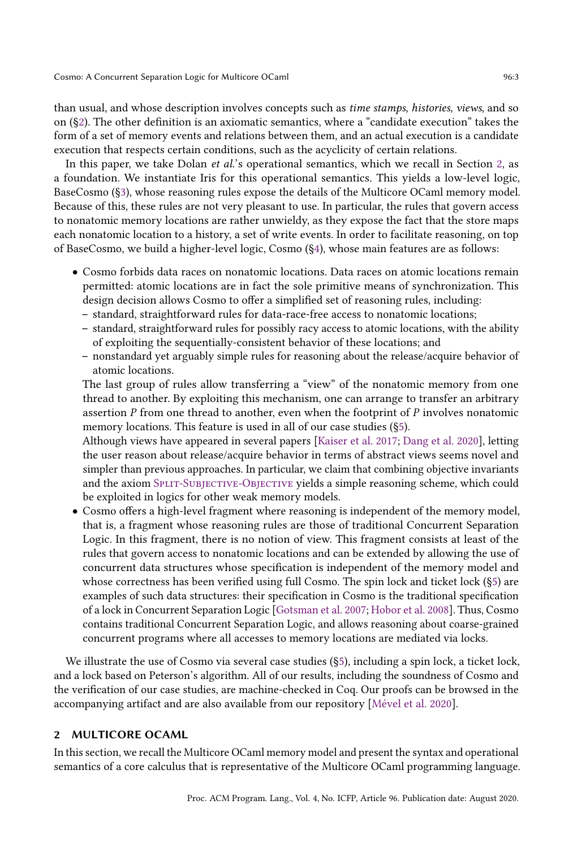than usual, and whose description involves concepts such as time stamps, histories, views, and so on ( $\S$ 2). The other definition is an axiomatic semantics, where a "candidate execution" takes the form of a set of memory events and relations between them, and an actual execution is a candidate execution that respects certain conditions, such as the acyclicity of certain relations.

In this paper, we take Dolan *et al.*'s operational semantics, which we recall in Section [2,](#page-2-0) as a foundation. We instantiate Iris for this operational semantics. This yields a low-level logic, BaseCosmo ([ğ3\)](#page-7-0), whose reasoning rules expose the details of the Multicore OCaml memory model. Because of this, these rules are not very pleasant to use. In particular, the rules that govern access to nonatomic memory locations are rather unwieldy, as they expose the fact that the store maps each nonatomic location to a history, a set of write events. In order to facilitate reasoning, on top of BaseCosmo, we build a higher-level logic, Cosmo ([ğ4\)](#page-13-0), whose main features are as follows:

- Cosmo forbids data races on nonatomic locations. Data races on atomic locations remain permitted: atomic locations are in fact the sole primitive means of synchronization. This design decision allows Cosmo to offer a simplified set of reasoning rules, including:
	- standard, straightforward rules for data-race-free access to nonatomic locations;
	- $-$  standard, straightforward rules for possibly racy access to atomic locations, with the ability of exploiting the sequentially-consistent behavior of these locations; and
	- nonstandard yet arguably simple rules for reasoning about the release/acquire behavior of atomic locations.

The last group of rules allow transferring a "view" of the nonatomic memory from one thread to another. By exploiting this mechanism, one can arrange to transfer an arbitrary assertion  $P$  from one thread to another, even when the footprint of  $P$  involves nonatomic memory locations. This feature is used in all of our case studies ([ğ5\)](#page-18-0).

Although views have appeared in several papers [\[Kaiser et al.](#page-27-8) [2017;](#page-27-8) [Dang et al.](#page-27-10) [2020\]](#page-27-10), letting the user reason about release/acquire behavior in terms of abstract views seems novel and simpler than previous approaches. In particular, we claim that combining objective invariants and the axiom SPLIT-SUBJECTIVE-OBJECTIVE yields a simple reasoning scheme, which could be exploited in logics for other weak memory models.

• Cosmo offers a high-level fragment where reasoning is independent of the memory model, that is, a fragment whose reasoning rules are those of traditional Concurrent Separation Logic. In this fragment, there is no notion of view. This fragment consists at least of the rules that govern access to nonatomic locations and can be extended by allowing the use of concurrent data structures whose specification is independent of the memory model and whose correctness has been verified using full Cosmo. The spin lock and ticket lock ([ğ5\)](#page-18-0) are examples of such data structures: their specification in Cosmo is the traditional specification of a lock in Concurrent Separation Logic [\[Gotsman et al.](#page-27-11) [2007;](#page-27-11) [Hobor et al.](#page-27-12) [2008\]](#page-27-12). Thus, Cosmo contains traditional Concurrent Separation Logic, and allows reasoning about coarse-grained concurrent programs where all accesses to memory locations are mediated via locks.

We illustrate the use of Cosmo via several case studies (§5), including a spin lock, a ticket lock, and a lock based on Peterson's algorithm. All of our results, including the soundness of Cosmo and the verification of our case studies, are machine-checked in Coq. Our proofs can be browsed in the accompanying artifact and are also available from our repository [\[Mével et al. 2020\]](#page-28-3).

# <span id="page-2-0"></span>2 MULTICORE OCAML

In this section, we recall the Multicore OCaml memory model and present the syntax and operational semantics of a core calculus that is representative of the Multicore OCaml programming language.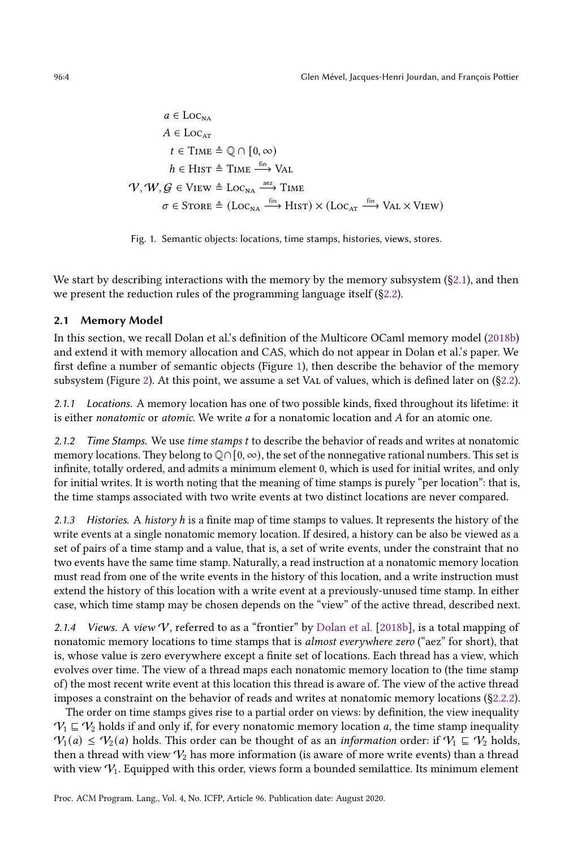<span id="page-3-1"></span>
$$
a \in \text{Loc}_{\text{na}}
$$
\n
$$
A \in \text{Loc}_{\text{at}}
$$
\n
$$
t \in \text{Time} \triangleq \mathbb{Q} \cap [0, \infty)
$$
\n
$$
h \in \text{HIST} \triangleq \text{TIME} \xrightarrow{\text{fin}} \text{Val}
$$
\n
$$
\mathcal{V}, \mathcal{W}, \mathcal{G} \in \text{View} \triangleq \text{Loc}_{\text{na}} \xrightarrow{\text{aez}} \text{Time}
$$
\n
$$
\sigma \in \text{STORE} \triangleq (\text{Loc}_{\text{na}} \xrightarrow{\text{fin}} \text{HIST}) \times (\text{Loc}_{\text{at}} \xrightarrow{\text{fin}} \text{Val} \times \text{View})
$$

Fig. 1. Semantic objects: locations, time stamps, histories, views, stores.

We start by describing interactions with the memory by the memory subsystem  $(\S2.1)$ , and then we present the reduction rules of the programming language itself ([ğ2.2\)](#page-5-0).

# <span id="page-3-0"></span>2.1 Memory Model

In this section, we recall Dolan et al.'s definition of the Multicore OCaml memory model [\(2018b\)](#page-27-2) and extend it with memory allocation and CAS, which do not appear in Dolan et al.'s paper. We first define a number of semantic objects (Figure [1\)](#page-3-1), then describe the behavior of the memory subsystem (Figure [2\)](#page-4-0). At this point, we assume a set VAL of values, which is defined later on (§2.2).

2.1.1 Locations. A memory location has one of two possible kinds, fixed throughout its lifetime: it is either *nonatomic* or *atomic*. We write  $a$  for a nonatomic location and  $A$  for an atomic one.

2.1.2 Time Stamps. We use time stamps t to describe the behavior of reads and writes at nonatomic memory locations. They belong to  $\mathbb{Q} \cap [0, \infty)$ , the set of the nonnegative rational numbers. This set is infinite, totally ordered, and admits a minimum element 0, which is used for initial writes, and only for initial writes. It is worth noting that the meaning of time stamps is purely "per location": that is, the time stamps associated with two write events at two distinct locations are never compared.

2.1.3 Histories. A history h is a finite map of time stamps to values. It represents the history of the write events at a single nonatomic memory location. If desired, a history can be also be viewed as a set of pairs of a time stamp and a value, that is, a set of write events, under the constraint that no two events have the same time stamp. Naturally, a read instruction at a nonatomic memory location must read from one of the write events in the history of this location, and a write instruction must extend the history of this location with a write event at a previously-unused time stamp. In either case, which time stamp may be chosen depends on the "view" of the active thread, described next.

<span id="page-3-2"></span>2.1.4 Views. A view  $V$ , referred to as a "frontier" by [Dolan et al.](#page-27-2) [\[2018b\]](#page-27-2), is a total mapping of nonatomic memory locations to time stamps that is *almost everywhere zero* ("aez" for short), that is, whose value is zero everywhere except a finite set of locations. Each thread has a view, which evolves over time. The view of a thread maps each nonatomic memory location to (the time stamp of) the most recent write event at this location this thread is aware of. The view of the active thread imposes a constraint on the behavior of reads and writes at nonatomic memory locations ([ğ2.2.2\)](#page-6-0).

The order on time stamps gives rise to a partial order on views: by definition, the view inequality  $\mathcal{V}_1 \subseteq \mathcal{V}_2$  holds if and only if, for every nonatomic memory location a, the time stamp inequality  $\mathcal{V}_1(a) \leq \mathcal{V}_2(a)$  holds. This order can be thought of as an information order: if  $\mathcal{V}_1 \subseteq \mathcal{V}_2$  holds, then a thread with view  $V_2$  has more information (is aware of more write events) than a thread with view  $V_1$ . Equipped with this order, views form a bounded semilattice. Its minimum element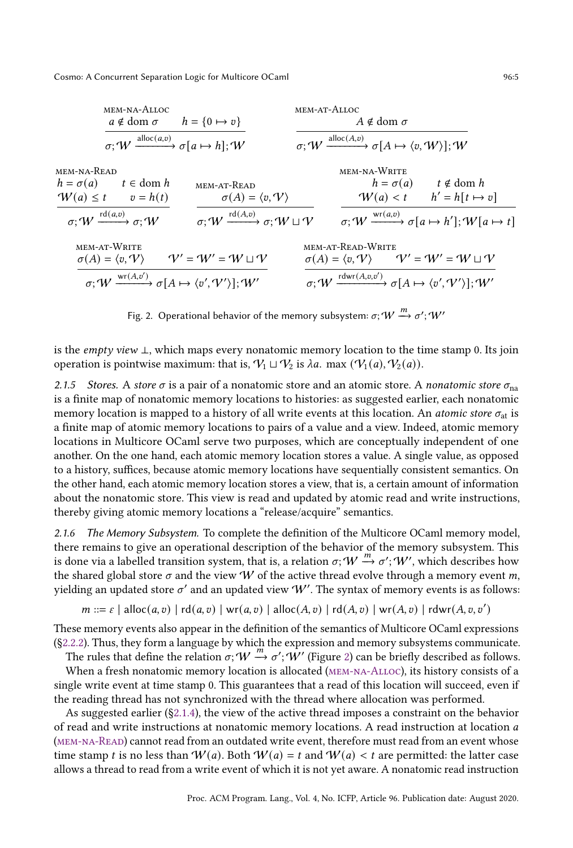<span id="page-4-4"></span><span id="page-4-2"></span><span id="page-4-1"></span><span id="page-4-0"></span>

<span id="page-4-7"></span><span id="page-4-6"></span><span id="page-4-5"></span><span id="page-4-3"></span>Fig. 2. Operational behavior of the memory subsystem:  $\sigma;$   $W \xrightarrow{m} \sigma';$   $W'$ 

is the empty view ⊥, which maps every nonatomic memory location to the time stamp 0. Its join operation is pointwise maximum: that is,  $V_1 \sqcup V_2$  is  $\lambda a$ . max  $(V_1(a), V_2(a))$ .

2.1.5 Stores. A store  $\sigma$  is a pair of a nonatomic store and an atomic store. A nonatomic store  $\sigma_{na}$ is a finite map of nonatomic memory locations to histories: as suggested earlier, each nonatomic memory location is mapped to a history of all write events at this location. An *atomic store*  $\sigma_{at}$  is a finite map of atomic memory locations to pairs of a value and a view. Indeed, atomic memory locations in Multicore OCaml serve two purposes, which are conceptually independent of one another. On the one hand, each atomic memory location stores a value. A single value, as opposed to a history, suffices, because atomic memory locations have sequentially consistent semantics. On the other hand, each atomic memory location stores a view, that is, a certain amount of information about the nonatomic store. This view is read and updated by atomic read and write instructions, thereby giving atomic memory locations a "release/acquire" semantics.

2.1.6 The Memory Subsystem. To complete the definition of the Multicore OCaml memory model, there remains to give an operational description of the behavior of the memory subsystem. This is done via a labelled transition system, that is, a relation  $\sigma$ ;  $W \rightarrow \sigma'$ ;  $W'$ , which describes how the shared global store  $\sigma$  and the view W of the active thread evolve through a memory event m, yielding an updated store  $\sigma'$  and an updated view  $\hat{W}'$ . The syntax of memory events is as follows:

$$
m ::= \varepsilon | \text{alloc}(a, v) | \text{rd}(a, v) | \text{wr}(a, v) | \text{alloc}(A, v) | \text{rd}(A, v) | \text{wr}(A, v) | \text{rdwr}(A, v, v')
$$

These memory events also appear in the definition of the semantics of Multicore OCaml expressions ([ğ2.2.2\)](#page-6-0). Thus, they form a language by which the expression and memory subsystems communicate.

The rules that define the relation  $\sigma$ ;  $W \stackrel{m}{\rightarrow} \sigma'$ ;  $W'$  (Figure [2\)](#page-4-0) can be briefly described as follows.

When a fresh nonatomic memory location is allocated (MEM-NA-ALLOC), its history consists of a single write event at time stamp 0. This guarantees that a read of this location will succeed, even if the reading thread has not synchronized with the thread where allocation was performed.

As suggested earlier ([ğ2.1.4\)](#page-3-2), the view of the active thread imposes a constraint on the behavior of read and write instructions at nonatomic memory locations. A read instruction at location a [\(mem-na-Read\)](#page-4-2) cannot read from an outdated write event, therefore must read from an event whose time stamp t is no less than  $W(a)$ . Both  $W(a) = t$  and  $W(a) < t$  are permitted: the latter case allows a thread to read from a write event of which it is not yet aware. A nonatomic read instruction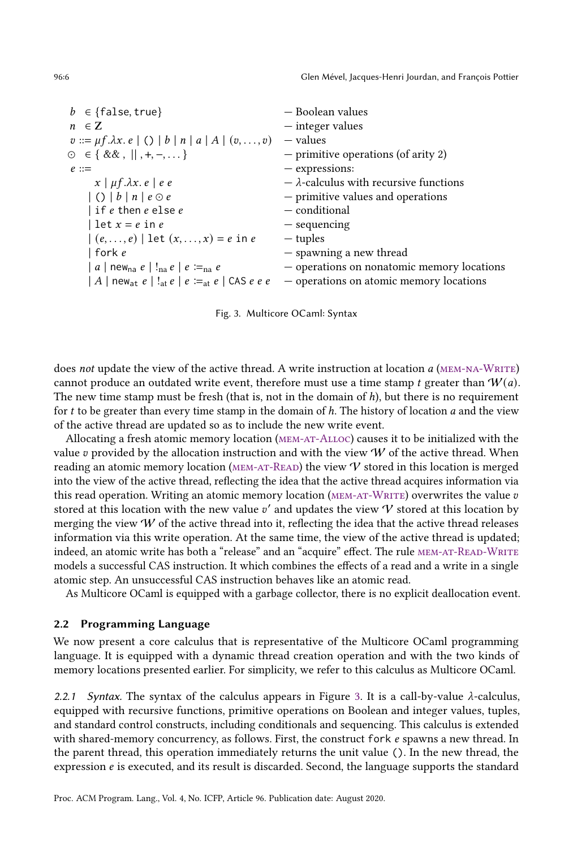96:6 Glen Mével, Jacques-Henri Jourdan, and François Pottier

<span id="page-5-1"></span>

|                                                                                     | — Boolean values                              |
|-------------------------------------------------------------------------------------|-----------------------------------------------|
| $b \in \{\text{false}, \text{true}\}\$                                              |                                               |
| $n \in \mathbb{Z}$                                                                  | - integer values                              |
| $v ::= \mu f. \lambda x. e \mid () \mid b \mid n \mid a \mid A \mid (v, \ldots, v)$ | — values                                      |
| $\odot \in \{ \&\& ,    , +, -,  \}$                                                | $-$ primitive operations (of arity 2)         |
| $e ::=$                                                                             | - expressions:                                |
| $x \mid \mu f. \lambda x. e \mid e e$                                               | $-\lambda$ -calculus with recursive functions |
| $ ( )   b   n   e \odot e$                                                          | - primitive values and operations             |
| $ $ if $e$ then $e$ else $e$                                                        | — conditional                                 |
| $let x = e in e$                                                                    | $-$ sequencing                                |
| $(e, , e)$   let $(x, , x) = e$ in e                                                | — tuples                                      |
| fork e                                                                              | - spawning a new thread                       |
| a   new <sub>na</sub> e   ! <sub>na</sub> e   e $\equiv_{\text{na}} e$              | - operations on nonatomic memory locations    |
| $ A $ new <sub>at</sub> $e !_{at}e e =_{at}e $ CAS $e e e$                          | - operations on atomic memory locations       |

Fig. 3. Multicore OCaml: Syntax

does not update the view of the active thread. A write instruction at location  $a$  (MEM-NA-WRITE) cannot produce an outdated write event, therefore must use a time stamp t greater than  $W(a)$ . The new time stamp must be fresh (that is, not in the domain of  $h$ ), but there is no requirement for  $t$  to be greater than every time stamp in the domain of  $h$ . The history of location  $a$  and the view of the active thread are updated so as to include the new write event.

Allocating a fresh atomic memory location [\(mem-at-Alloc\)](#page-4-4) causes it to be initialized with the value  $v$  provided by the allocation instruction and with the view  $W$  of the active thread. When reading an atomic memory location (MEM-AT-READ) the view  $\mathcal V$  stored in this location is merged into the view of the active thread, reflecting the idea that the active thread acquires information via this read operation. Writing an atomic memory location (MEM-AT-WRITE) overwrites the value  $v$ stored at this location with the new value  $v'$  and updates the view  $\mathcal V$  stored at this location by merging the view  $W$  of the active thread into it, reflecting the idea that the active thread releases information via this write operation. At the same time, the view of the active thread is updated; indeed, an atomic write has both a "release" and an "acquire" effect. The rule MEM-AT-READ-WRITE models a successful CAS instruction. It which combines the effects of a read and a write in a single atomic step. An unsuccessful CAS instruction behaves like an atomic read.

As Multicore OCaml is equipped with a garbage collector, there is no explicit deallocation event.

#### <span id="page-5-0"></span>2.2 Programming Language

We now present a core calculus that is representative of the Multicore OCaml programming language. It is equipped with a dynamic thread creation operation and with the two kinds of memory locations presented earlier. For simplicity, we refer to this calculus as Multicore OCaml.

2.2.1 Syntax. The syntax of the calculus appears in Figure [3.](#page-5-1) It is a call-by-value  $\lambda$ -calculus, equipped with recursive functions, primitive operations on Boolean and integer values, tuples, and standard control constructs, including conditionals and sequencing. This calculus is extended with shared-memory concurrency, as follows. First, the construct fork  $e$  spawns a new thread. In the parent thread, this operation immediately returns the unit value (). In the new thread, the expression *e* is executed, and its result is discarded. Second, the language supports the standard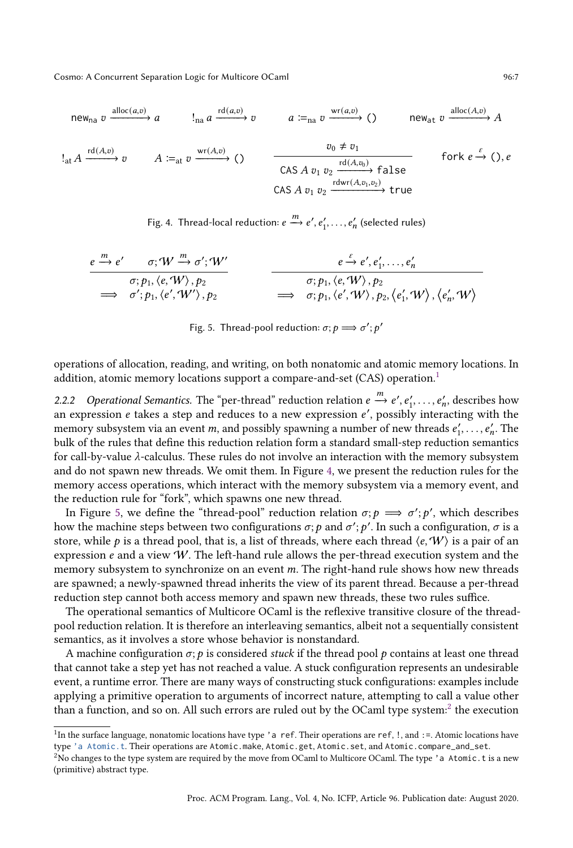<span id="page-6-2"></span>new<sub>na</sub> 
$$
v \xrightarrow{\text{alloc}(a,v)}
$$
  $a$   
\n $\downarrow_{na} a \xrightarrow{\text{rd}(a,v)}$   $v$   
\n $a :=_{na} v \xrightarrow{\text{wr}(a,v)}$   $\rightarrow$   $\rightarrow$   $\rightarrow$   $\rightarrow$   $\rightarrow$   $\rightarrow$   $\rightarrow$   $\rightarrow$   $\rightarrow$   $\rightarrow$   $\rightarrow$   $\rightarrow$   $\rightarrow$   $\rightarrow$   $\rightarrow$   $\rightarrow$   $\rightarrow$   $\rightarrow$   $\rightarrow$   $\rightarrow$   $\rightarrow$   $\rightarrow$   $\rightarrow$   $\rightarrow$   $\rightarrow$   $\rightarrow$   $\rightarrow$   $\rightarrow$   $\rightarrow$   $\rightarrow$   $\rightarrow$   $\rightarrow$   $\rightarrow$   $\rightarrow$   $\rightarrow$   $\rightarrow$   $\rightarrow$   $\rightarrow$   $\rightarrow$   $\rightarrow$   $\rightarrow$   $\rightarrow$   $\rightarrow$   $\rightarrow$   $\rightarrow$   $\rightarrow$   $\rightarrow$   $\rightarrow$   $\rightarrow$   $\rightarrow$   $\rightarrow$   $\rightarrow$   $\rightarrow$   $\rightarrow$   $\rightarrow$   $\rightarrow$   $\rightarrow$   $\rightarrow$   $\rightarrow$   $\rightarrow$   $\rightarrow$   $\rightarrow$   $\rightarrow$   $\rightarrow$   $\rightarrow$   $\rightarrow$   $\rightarrow$   $\rightarrow$   $\rightarrow$   $\rightarrow$   $\rightarrow$   $\rightarrow$   $\rightarrow$   $\rightarrow$   $\rightarrow$   $\rightarrow$   $\rightarrow$   $\rightarrow$   $\rightarrow$   $\rightarrow$   $\rightarrow$   $\rightarrow$   $\rightarrow$   $\rightarrow$   $\rightarrow$   $\rightarrow$   $\rightarrow$   $\rightarrow$   $\rightarrow$   $\rightarrow$   $\rightarrow$   $\rightarrow$   $\rightarrow$   $\rightarrow$   $\rightarrow$   $\rightarrow$   $\rightarrow$  <

Fig. 4. Thread-local reduction:  $e \xrightarrow{m} e', e'_1, \ldots, e'_n$  (selected rules)

<span id="page-6-3"></span>
$$
\frac{e\xrightarrow{m}e'\qquad \sigma;W\xrightarrow{m}\sigma';W'}{\sigma;p_1,\langle e,W\rangle,p_2}\qquad \qquad \frac{e\xrightarrow{e}e',e'_1,\ldots,e'_n}{\sigma;p_1,\langle e',W\rangle,p_2}\qquad \qquad \frac{\sigma;p_1,\langle e,W\rangle,p_2}{\sigma;p_1,\langle e',W\rangle,p_2,\langle e'_1,W\rangle,\langle e'_n,W\rangle}
$$

Fig. 5. Thread-pool reduction:  $\sigma$ ;  $p \Longrightarrow \sigma'$ ;  $p'$ 

operations of allocation, reading, and writing, on both nonatomic and atomic memory locations. In addition, atomic memory locations support a compare-and-set (CAS) operation.<sup>[1](#page-6-1)</sup>

<span id="page-6-0"></span>2.2.2 Operational Semantics. The "per-thread" reduction relation  $e \stackrel{m}{\rightarrow} e', e'_1, \ldots, e'_n$ , describes how an expression  $e$  takes a step and reduces to a new expression  $e'$ , possibly interacting with the memory subsystem via an event *m*, and possibly spawning a number of new threads  $e'_1, \ldots, e'_n$ . The bulk of the rules that define this reduction relation form a standard small-step reduction semantics for call-by-value  $\lambda$ -calculus. These rules do not involve an interaction with the memory subsystem and do not spawn new threads. We omit them. In Figure [4,](#page-6-2) we present the reduction rules for the memory access operations, which interact with the memory subsystem via a memory event, and the reduction rule for "fork", which spawns one new thread.

In Figure [5,](#page-6-3) we define the "thread-pool" reduction relation  $\sigma; p \implies \sigma'; p'$ , which describes how the machine steps between two configurations  $\sigma; p$  and  $\sigma'; p'.$  In such a configuration,  $\sigma$  is a store, while p is a thread pool, that is, a list of threads, where each thread  $\langle e, W \rangle$  is a pair of an expression  $e$  and a view  $W$ . The left-hand rule allows the per-thread execution system and the memory subsystem to synchronize on an event m. The right-hand rule shows how new threads are spawned; a newly-spawned thread inherits the view of its parent thread. Because a per-thread reduction step cannot both access memory and spawn new threads, these two rules suffice.

The operational semantics of Multicore OCaml is the reflexive transitive closure of the threadpool reduction relation. It is therefore an interleaving semantics, albeit not a sequentially consistent semantics, as it involves a store whose behavior is nonstandard.

A machine configuration  $\sigma$ ;  $\dot{p}$  is considered *stuck* if the thread pool  $p$  contains at least one thread that cannot take a step yet has not reached a value. A stuck configuration represents an undesirable event, a runtime error. There are many ways of constructing stuck configurations: examples include applying a primitive operation to arguments of incorrect nature, attempting to call a value other than a function, and so on. All such errors are ruled out by the OCaml type system: $^2$  $^2$  the execution

<span id="page-6-1"></span><sup>&</sup>lt;sup>1</sup>In the surface language, nonatomic locations have type 'a ref. Their operations are ref, !, and :=. Atomic locations have type ['a Atomic.t](https://github.com/ocaml-multicore/ocaml-multicore/blob/master/stdlib/atomic.mli). Their operations are Atomic.make, Atomic.get, Atomic.set, and Atomic.compare\_and\_set.

<span id="page-6-4"></span><sup>&</sup>lt;sup>2</sup>No changes to the type system are required by the move from OCaml to Multicore OCaml. The type 'a Atomic.t is a new (primitive) abstract type.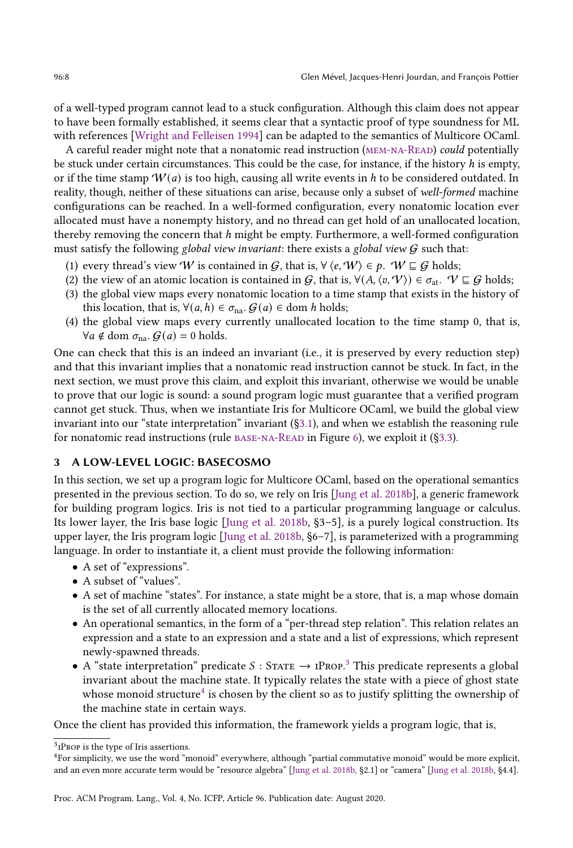of a well-typed program cannot lead to a stuck configuration. Although this claim does not appear to have been formally established, it seems clear that a syntactic proof of type soundness for ML with references [\[Wright and Felleisen 1994\]](#page-28-4) can be adapted to the semantics of Multicore OCaml.

A careful reader might note that a nonatomic read instruction (MEM-NA-READ) could potentially be stuck under certain circumstances. This could be the case, for instance, if the history  $h$  is empty, or if the time stamp  $W(a)$  is too high, causing all write events in h to be considered outdated. In reality, though, neither of these situations can arise, because only a subset of well-formed machine configurations can be reached. In a well-formed configuration, every nonatomic location ever allocated must have a nonempty history, and no thread can get hold of an unallocated location, thereby removing the concern that  $h$  might be empty. Furthermore, a well-formed configuration must satisfy the following global view invariant: there exists a global view  $G$  such that:

- <span id="page-7-6"></span>(1) every thread's view W is contained in G, that is,  $\forall \langle e, W \rangle \in p$ .  $W \sqsubseteq G$  holds;
- <span id="page-7-3"></span>(2) the view of an atomic location is contained in G, that is,  $\forall (A, \langle v, \mathcal{V} \rangle) \in \sigma_{at}$ .  $\mathcal{V} \sqsubseteq \mathcal{G}$  holds;
- <span id="page-7-4"></span>(3) the global view maps every nonatomic location to a time stamp that exists in the history of this location, that is,  $\forall (a, h) \in \sigma_{na}$ .  $\mathcal{G}(a) \in \text{dom } h$  holds;
- <span id="page-7-5"></span>(4) the global view maps every currently unallocated location to the time stamp 0, that is,  $\forall a \notin \text{dom } \sigma_{na}. \mathcal{G}(a) = 0 \text{ holds.}$

One can check that this is an indeed an invariant (i.e., it is preserved by every reduction step) and that this invariant implies that a nonatomic read instruction cannot be stuck. In fact, in the next section, we must prove this claim, and exploit this invariant, otherwise we would be unable to prove that our logic is sound: a sound program logic must guarantee that a verified program cannot get stuck. Thus, when we instantiate Iris for Multicore OCaml, we build the global view invariant into our "state interpretation" invariant  $(§3.1)$ , and when we establish the reasoning rule for nonatomic read instructions (rule  $BASE-NA-READ$  in Figure [6\)](#page-11-1), we exploit it (§3.3).

# <span id="page-7-0"></span>3 A LOW-LEVEL LOGIC: BASECOSMO

In this section, we set up a program logic for Multicore OCaml, based on the operational semantics presented in the previous section. To do so, we rely on Iris [\[Jung et al.](#page-27-9) [2018b\]](#page-27-9), a generic framework for building program logics. Iris is not tied to a particular programming language or calculus. Its lower layer, the Iris base logic  $\lceil \text{lung et al. 2018b, §3–5} \rceil$  $\lceil \text{lung et al. 2018b, §3–5} \rceil$  $\lceil \text{lung et al. 2018b, §3–5} \rceil$ , is a purely logical construction. Its upper layer, the Iris program logic  $\lceil \text{lung et al. 2018b, $6–7} \rceil$  $\lceil \text{lung et al. 2018b, $6–7} \rceil$  $\lceil \text{lung et al. 2018b, $6–7} \rceil$ , is parameterized with a programming language. In order to instantiate it, a client must provide the following information:

- A set of "expressions".
- $\bullet$  A subset of "values".
- A set of machine "states". For instance, a state might be a store, that is, a map whose domain is the set of all currently allocated memory locations.
- An operational semantics, in the form of a "per-thread step relation". This relation relates an expression and a state to an expression and a state and a list of expressions, which represent newly-spawned threads.
- A "state interpretation" predicate  $S :$  STATE  $\rightarrow$  IPROP.<sup>[3](#page-7-1)</sup> This predicate represents a global invariant about the machine state. It typically relates the state with a piece of ghost state whose monoid structure ${}^4$  ${}^4$  is chosen by the client so as to justify splitting the ownership of the machine state in certain ways.

Once the client has provided this information, the framework yields a program logic, that is,

<span id="page-7-1"></span> $3$ <sub>I</sub>PROP is the type of Iris assertions.

<span id="page-7-2"></span><sup>&</sup>lt;sup>4</sup>For simplicity, we use the word "monoid" everywhere, although "partial commutative monoid" would be more explicit, and an even more accurate term would be "resource algebra" [\[Jung et al.](#page-27-9) [2018b,](#page-27-9) §2.1] or "camera" [Jung et al. 2018b, §4.4].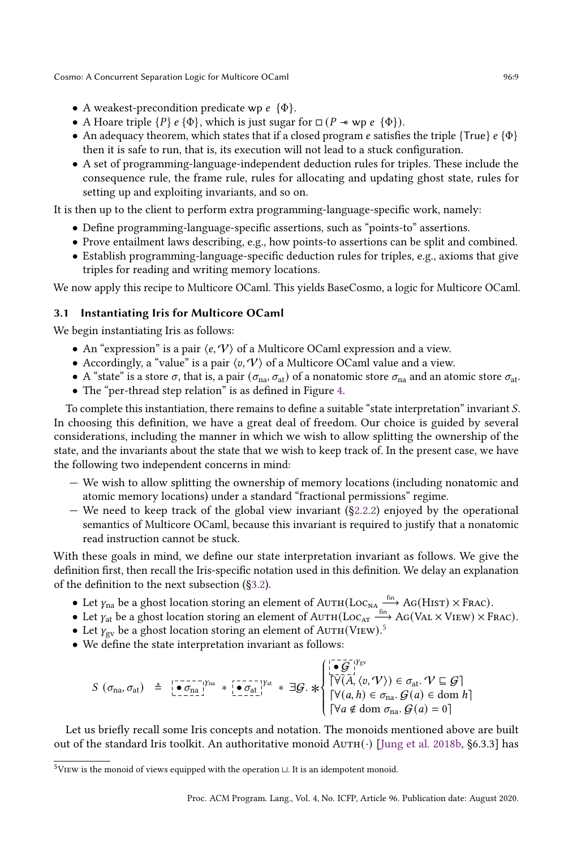- A weakest-precondition predicate wp  $e \{ \Phi \}.$
- A Hoare triple  $\{P\}$   $\{e\}$ , which is just sugar for  $\Box$  ( $P \rightarrow \psi$   $\psi$   $\{e\}$ ).
- An adequacy theorem, which states that if a closed program e satisfies the triple {True}  $e \{ \Phi \}$ then it is safe to run, that is, its execution will not lead to a stuck configuration.
- A set of programming-language-independent deduction rules for triples. These include the consequence rule, the frame rule, rules for allocating and updating ghost state, rules for setting up and exploiting invariants, and so on.

It is then up to the client to perform extra programming-language-specific work, namely:

- Define programming-language-specific assertions, such as "points-to" assertions.
- Prove entailment laws describing, e.g., how points-to assertions can be split and combined.
- Establish programming-language-specific deduction rules for triples, e.g., axioms that give triples for reading and writing memory locations.

We now apply this recipe to Multicore OCaml. This yields BaseCosmo, a logic for Multicore OCaml.

# <span id="page-8-0"></span>3.1 Instantiating Iris for Multicore OCaml

We begin instantiating Iris as follows:

- An "expression" is a pair  $\langle e, \mathcal{V} \rangle$  of a Multicore OCaml expression and a view.
- Accordingly, a "value" is a pair  $\langle v, V \rangle$  of a Multicore OCaml value and a view.
- A "state" is a store  $\sigma$ , that is, a pair  $(\sigma_{na}, \sigma_{at})$  of a nonatomic store  $\sigma_{na}$  and an atomic store  $\sigma_{at}$ .
- The "per-thread step relation" is as defined in Figure [4.](#page-6-2)

To complete this instantiation, there remains to define a suitable "state interpretation" invariant S. In choosing this definition, we have a great deal of freedom. Our choice is guided by several considerations, including the manner in which we wish to allow splitting the ownership of the state, and the invariants about the state that we wish to keep track of. In the present case, we have the following two independent concerns in mind:

- Ð We wish to allow splitting the ownership of memory locations (including nonatomic and atomic memory locations) under a standard "fractional permissions" regime.
- $-$  We need to keep track of the global view invariant (§2.2.2) enjoyed by the operational semantics of Multicore OCaml, because this invariant is required to justify that a nonatomic read instruction cannot be stuck.

With these goals in mind, we define our state interpretation invariant as follows. We give the definition first, then recall the Iris-specific notation used in this definition. We delay an explanation of the definition to the next subsection ([ğ3.2\)](#page-9-0).

- Let  $\gamma_{\text{na}}$  be a ghost location storing an element of  $\text{Aut}_{\text{H}}(\text{Loc}_{\text{NA}} \xrightarrow{f_{\text{fin}}} \text{AG}(\text{HIST}) \times \text{Frac}).$
- Let  $\gamma_{at}$  be a ghost location storing an element of  $A \text{uTH}(Loc_{AT} \xrightarrow{fin} AG(VAL \times VIEW) \times FRAC)$ .
- Let  $\gamma_{\rm gv}$  be a ghost location storing an element of AUTH(VIEW).<sup>[5](#page-8-1)</sup>
- We define the state interpretation invariant as follows:

$$
S(\sigma_{na}, \sigma_{at}) \triangleq \begin{bmatrix} \mathbf{0} & \mathbf{0} & \mathbf{0} & \mathbf{0} & \mathbf{0} & \mathbf{0} & \mathbf{0} & \mathbf{0} & \mathbf{0} & \mathbf{0} & \mathbf{0} & \mathbf{0} & \mathbf{0} & \mathbf{0} & \mathbf{0} & \mathbf{0} & \mathbf{0} & \mathbf{0} & \mathbf{0} & \mathbf{0} & \mathbf{0} & \mathbf{0} & \mathbf{0} & \mathbf{0} & \mathbf{0} & \mathbf{0} & \mathbf{0} & \mathbf{0} & \mathbf{0} & \mathbf{0} & \mathbf{0} & \mathbf{0} & \mathbf{0} & \mathbf{0} & \mathbf{0} & \mathbf{0} & \mathbf{0} & \mathbf{0} & \mathbf{0} & \mathbf{0} & \mathbf{0} & \mathbf{0} & \mathbf{0} & \mathbf{0} & \mathbf{0} & \mathbf{0} & \mathbf{0} & \mathbf{0} & \mathbf{0} & \mathbf{0} & \mathbf{0} & \mathbf{0} & \mathbf{0} & \mathbf{0} & \mathbf{0} & \mathbf{0} & \mathbf{0} & \mathbf{0} & \mathbf{0} & \mathbf{0} & \mathbf{0} & \mathbf{0} & \mathbf{0} & \mathbf{0} & \mathbf{0} & \mathbf{0} & \mathbf{0} & \mathbf{0} & \mathbf{0} & \mathbf{0} & \mathbf{0} & \mathbf{0} & \mathbf{0} & \mathbf{0} & \mathbf{0} & \mathbf{0} & \mathbf{0} & \mathbf{0} & \mathbf{0} & \mathbf{0} & \mathbf{0} & \mathbf{0} & \mathbf{0} & \mathbf{0} & \mathbf{0} & \mathbf{0} & \mathbf{0} & \mathbf{0} & \mathbf{0} & \mathbf{0} & \mathbf{0} & \mathbf{0} & \mathbf{0} & \mathbf{0} & \mathbf{0} & \mathbf{0} & \mathbf{0} & \mathbf{0} & \mathbf{0} & \mathbf{0} & \mathbf{0} & \mathbf{0} & \mathbf{0} & \mathbf{0} & \mathbf{0} & \mathbf{
$$

Let us briefly recall some Iris concepts and notation. The monoids mentioned above are built out of the standard Iris toolkit. An authoritative monoid  $AUTH(\cdot)$  [\[Jung et al.](#page-27-9) [2018b,](#page-27-9) §6.3.3] has

<span id="page-8-1"></span> $^5\rm V$ is the monoid of views equipped with the operation  $\sqcup$  . It is an idempotent monoid.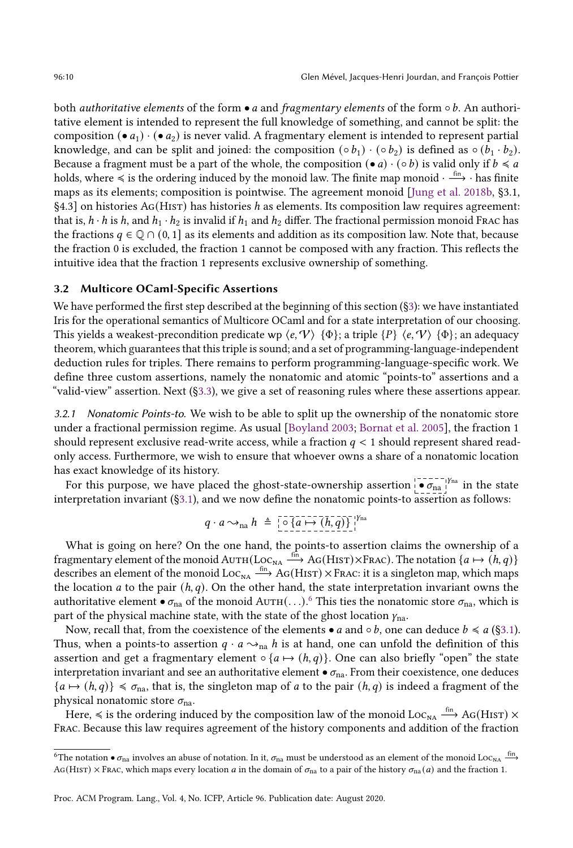both *authoritative elements* of the form • *a* and *fragmentary elements* of the form  $\circ$  *b*. An authoritative element is intended to represent the full knowledge of something, and cannot be split: the composition (•  $a_1$ )  $\cdot$  (•  $a_2$ ) is never valid. A fragmentary element is intended to represent partial knowledge, and can be split and joined: the composition  $(\circ b_1) \cdot (\circ b_2)$  is defined as  $\circ (b_1 \cdot b_2)$ . Because a fragment must be a part of the whole, the composition  $\bullet a \cdot (\circ b)$  is valid only if  $b \le a$ holds, where  $\leq$  is the ordering induced by the monoid law. The finite map monoid ·  $\stackrel{\text{fin}}{\longrightarrow}$  · has finite maps as its elements; composition is pointwise. The agreement monoid [\[Jung et al.](#page-27-9) [2018b,](#page-27-9) ğ3.1, §4.3] on histories AG(HIST) has histories *h* as elements. Its composition law requires agreement: that is,  $h \cdot h$  is h, and  $h_1 \cdot h_2$  is invalid if  $h_1$  and  $h_2$  differ. The fractional permission monoid Frac has the fractions  $q \in \mathbb{Q} \cap (0, 1]$  as its elements and addition as its composition law. Note that, because the fraction 0 is excluded, the fraction 1 cannot be composed with any fraction. This reflects the intuitive idea that the fraction 1 represents exclusive ownership of something.

# <span id="page-9-0"></span>3.2 Multicore OCaml-Specific Assertions

We have performed the first step described at the beginning of this section (§3): we have instantiated Iris for the operational semantics of Multicore OCaml and for a state interpretation of our choosing. This yields a weakest-precondition predicate wp  $\langle e, \mathcal{V} \rangle$  {Φ}; a triple {P}  $\langle e, \mathcal{V} \rangle$  {Φ}; an adequacy theorem, which guarantees that this triple is sound; and a set of programming-language-independent deduction rules for triples. There remains to perform programming-language-specific work. We define three custom assertions, namely the nonatomic and atomic "points-to" assertions and a "valid-view" assertion. Next  $(\S3.3)$ , we give a set of reasoning rules where these assertions appear.

3.2.1 Nonatomic Points-to. We wish to be able to split up the ownership of the nonatomic store under a fractional permission regime. As usual [\[Boyland 2003;](#page-27-13) [Bornat et al.](#page-27-14) [2005\]](#page-27-14), the fraction 1 should represent exclusive read-write access, while a fraction  $q < 1$  should represent shared readonly access. Furthermore, we wish to ensure that whoever owns a share of a nonatomic location has exact knowledge of its history.

For this purpose, we have placed the ghost-state-ownership assertion  $\overrightarrow{•}$   $\sigma_{\text{na}}$  in the state interpretation invariant ([ğ3.1\)](#page-8-0), and we now define the nonatomic points-to assertion as follows:

$$
q \cdot a \rightarrow_{\text{na}} h \triangleq \left[ \circ \left\{ a \mapsto (h, q) \right\} \right]^{1/n}
$$

What is going on here? On the one hand, the points-to assertion claims the ownership of a fragmentary element of the monoid  $\text{Aut}(\text{Loc}_{NA} \xrightarrow{ \text{fin} } \text{AG}(\text{HIST}) \times \text{Frac}).$  The notation  $\{a \mapsto (\dot{h}, q)\}$ describes an element of the monoid  $Loc_{NA} \xrightarrow{fin} AG(HIST) \times FrAC$ : it is a singleton map, which maps the location *a* to the pair  $(h, q)$ . On the other hand, the state interpretation invariant owns the authoritative element  $\bullet\sigma_{\rm na}$  of the monoid A ${\rm u\tau\rm H}(\ldots)$ .  $^6$  $^6$  This ties the nonatomic store  $\sigma_{\rm na}$ , which is part of the physical machine state, with the state of the ghost location  $y_{na}$ .

Now, recall that, from the coexistence of the elements • *a* and ∘*b*, one can deduce  $b \le a$  (§3.1). Thus, when a points-to assertion  $q \cdot a \rightarrow_{na} h$  is at hand, one can unfold the definition of this assertion and get a fragmentary element  $\circ$  { $a \mapsto (h, q)$ }. One can also briefly "open" the state interpretation invariant and see an authoritative element  $\bullet$   $\sigma_{na}$ . From their coexistence, one deduces  ${a \mapsto (h, q)} \leq \sigma_{\text{na}}$ , that is, the singleton map of *a* to the pair  $(h, q)$  is indeed a fragment of the physical nonatomic store  $\sigma_{\text{na}}$ .

Here,  $\leq$  is the ordering induced by the composition law of the monoid Loc $_{\text{NA}} \stackrel{\text{fin}}{\longrightarrow}$  Ag(H1sT)  $\times$ Frac. Because this law requires agreement of the history components and addition of the fraction

<span id="page-9-1"></span><sup>&</sup>lt;sup>6</sup>The notation ●  $\sigma_{\rm na}$  involves an abuse of notation. In it,  $\sigma_{\rm na}$  must be understood as an element of the monoid Loc<sub>NA</sub>  $\stackrel{\rm fin}{\longrightarrow}$ Ag(HIsT)  $\times$  Frac, which maps every location *a* in the domain of  $\sigma_{na}$  to a pair of the history  $\sigma_{na}(a)$  and the fraction 1.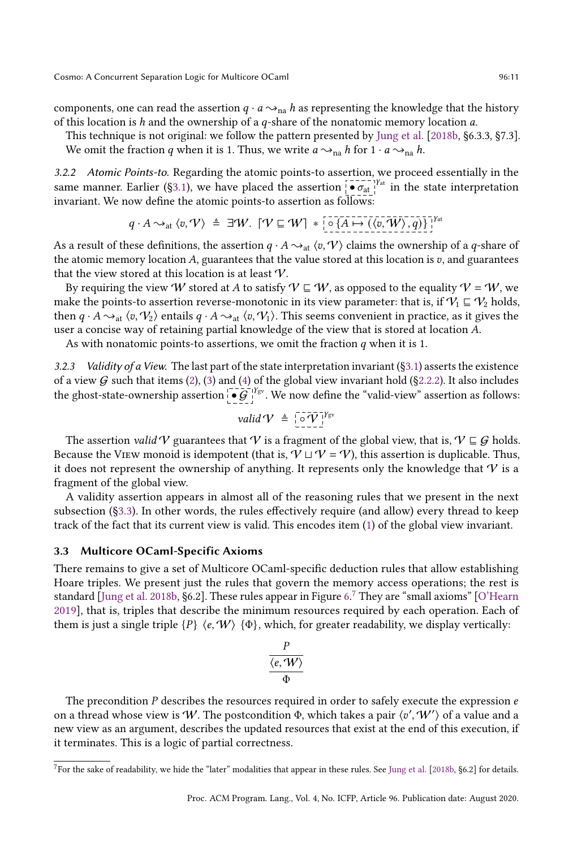components, one can read the assertion  $q \cdot a \rightarrow_{\text{na}} h$  as representing the knowledge that the history of this location is  $h$  and the ownership of a  $q$ -share of the nonatomic memory location  $a$ .

This technique is not original: we follow the pattern presented by [Jung et al.](#page-27-9) [\[2018b,](#page-27-9) ğ6.3.3, ğ7.3]. We omit the fraction q when it is 1. Thus, we write  $a \rightarrow_{na} h$  for  $1 \cdot a \rightarrow_{na} h$ .

3.2.2 Atomic Points-to. Regarding the atomic points-to assertion, we proceed essentially in the same manner. Earlier (§3.1), we have placed the assertion  $\left[\begin{array}{cc} \bullet & \bullet \\ \bullet & \bullet \end{array}\right]$ <sup>1</sup> in the state interpretation invariant. We now define the atomic points-to assertion as follows:

$$
q \cdot A \sim_{\text{at}} \langle v, \mathcal{V} \rangle \triangleq \exists \mathcal{W}. \quad [\mathcal{V} \sqsubseteq \mathcal{W}] \; * \; [\circ \{A \mapsto (\langle v, \mathcal{W} \rangle, q)\}]^{\gamma_{\text{at}}}
$$

As a result of these definitions, the assertion  $q \cdot A \rightarrow_{\text{at}} \langle v, V \rangle$  claims the ownership of a q-share of the atomic memory location  $A$ , guarantees that the value stored at this location is  $v$ , and guarantees that the view stored at this location is at least V.

By requiring the view W stored at A to satisfy  $V \subseteq W$ , as opposed to the equality  $V = W$ , we make the points-to assertion reverse-monotonic in its view parameter: that is, if  $\mathcal{V}_1 \subseteq \mathcal{V}_2$  holds, then  $q \cdot A \rightarrow_{\text{at}} \langle v, V_2 \rangle$  entails  $q \cdot A \rightarrow_{\text{at}} \langle v, V_1 \rangle$ . This seems convenient in practice, as it gives the user a concise way of retaining partial knowledge of the view that is stored at location A.

As with nonatomic points-to assertions, we omit the fraction  $q$  when it is 1.

3.2.3 Validity of a View. The last part of the state interpretation invariant  $(\S 3.1)$  asserts the existence of a view  $G$  such that items [\(2\)](#page-7-3), [\(3\)](#page-7-4) and [\(4\)](#page-7-5) of the global view invariant hold (§2.2.2). It also includes the ghost-state-ownership assertion  $\mathcal{G}^{\text{v}}$ . We now define the "valid-view" assertion as follows:

$$
valid \, \mathcal{V} \triangleq \left[ \overline{\circ} \, \overline{\mathcal{V}} \, \right]^{ \gamma_{\text{gv}} }
$$

The assertion *valid* V guarantees that V is a fragment of the global view, that is,  $V \sqsubseteq G$  holds. Because the VIEW monoid is idempotent (that is,  $\mathcal{V} \sqcup \mathcal{V} = \mathcal{V}$ ), this assertion is duplicable. Thus, it does not represent the ownership of anything. It represents only the knowledge that  $\mathcal V$  is a fragment of the global view.

A validity assertion appears in almost all of the reasoning rules that we present in the next subsection ([ğ3.3\)](#page-10-0). In other words, the rules effectively require (and allow) every thread to keep track of the fact that its current view is valid. This encodes item [\(1\)](#page-7-6) of the global view invariant.

#### <span id="page-10-0"></span>3.3 Multicore OCaml-Specific Axioms

There remains to give a set of Multicore OCaml-specific deduction rules that allow establishing Hoare triples. We present just the rules that govern the memory access operations; the rest is standard [\[Jung et al.](#page-27-9) [2018b,](#page-27-9) §[6.](#page-11-1)2]. These rules appear in Figure 6. $^7$  $^7$  They are "small axioms" [\[O'Hearn](#page-28-5) [2019\]](#page-28-5), that is, triples that describe the minimum resources required by each operation. Each of them is just a single triple  ${P} \langle e, W \rangle \{ \Phi \}$ , which, for greater readability, we display vertically:

$$
\frac{P}{\langle e, W \rangle} \over \Phi
$$

The precondition  $P$  describes the resources required in order to safely execute the expression  $e$ on a thread whose view is W. The postcondition  $\Phi$ , which takes a pair  $\langle v', \mathcal{W}' \rangle$  of a value and a new view as an argument, describes the updated resources that exist at the end of this execution, if it terminates. This is a logic of partial correctness.

<span id="page-10-1"></span> $^7$ For the sake of readability, we hide the "later" modalities that appear in these rules. See [Jung et al.](#page-27-9) [\[2018b,](#page-27-9) §6.2] for details.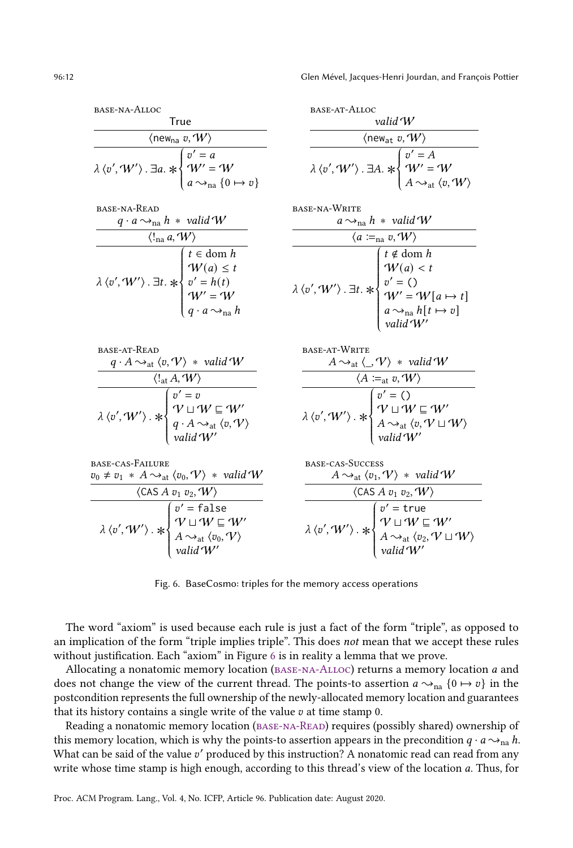<span id="page-11-4"></span><span id="page-11-3"></span><span id="page-11-2"></span><span id="page-11-1"></span><span id="page-11-0"></span>

| BASE-NA-ALLOC                                                                                                                                                                                                                                                      | <b>BASE-AT-ALLOC</b>                                                                                                                                                                                                                                                             |
|--------------------------------------------------------------------------------------------------------------------------------------------------------------------------------------------------------------------------------------------------------------------|----------------------------------------------------------------------------------------------------------------------------------------------------------------------------------------------------------------------------------------------------------------------------------|
| <b>True</b>                                                                                                                                                                                                                                                        | valid $W$                                                                                                                                                                                                                                                                        |
| $\langle$ new <sub>na</sub> v, W $\rangle$                                                                                                                                                                                                                         | $\langle$ new <sub>at</sub> v, $W\rangle$                                                                                                                                                                                                                                        |
| $\overline{\lambda \langle v', W' \rangle}$ . $\exists a. \ast \begin{cases} v' = a \\ W' = W \\ a \leadsto_{na} \{0 \mapsto v\} \end{cases}$                                                                                                                      | $\overline{\lambda \langle v', W' \rangle}$ . $\exists A. \ast \begin{cases} v' = A \\ W' = W \\ A \sim_{\text{at}} \langle v, W \rangle \end{cases}$                                                                                                                            |
| BASE-NA-READ<br>$q \cdot a \rightarrow_{\text{na}} h * \text{ valid } W$                                                                                                                                                                                           | BASE-NA-WRITE<br>$a \rightarrow_{na} h *$ valid W                                                                                                                                                                                                                                |
| $\langle !_{\rm na} \, a, W \rangle$                                                                                                                                                                                                                               | $\langle a\coloneqq_{\text{na}} v, \mathcal{W}\rangle$                                                                                                                                                                                                                           |
| $\lambda\, \langle v', \mathcal{W}' \rangle \, . \, \exists t. \, * \left\{ \begin{aligned} & t \in \mathrm{dom}\ h \\ & \mathcal{W}(a) \leq t \\ & v' = h(t) \\ & \mathcal{W}' = \mathcal{W} \\ & q \cdot a \sim_{\mathrm{na}} h \end{aligned} \right.$           | $\lambda\, \langle v', \mathcal{W}' \rangle \, . \, \exists t. \, *\, \begin{cases} t \notin \mathrm{dom}\, h \\ \mathcal{W}(a) < t \\ v' = () \\ \mathcal{W}' = \mathcal{W}[a \mapsto t] \\ a \leadsto_{\mathrm{na}} h[t \mapsto v] \\ \mathit{valid}'\mathcal{W}' \end{cases}$ |
| <b>BASE-AT-READ</b>                                                                                                                                                                                                                                                | BASE-AT-WRITE                                                                                                                                                                                                                                                                    |
| $q \cdot A \rightarrow_{\text{at}} \langle v, V \rangle * \text{ valid } W$                                                                                                                                                                                        | $A \rightarrow_{\text{at}} \langle \_, \mathcal{V} \rangle * \text{ valid } \mathcal{W}$                                                                                                                                                                                         |
|                                                                                                                                                                                                                                                                    |                                                                                                                                                                                                                                                                                  |
| $\overline{\langle \Psi_{\rm dt}^{\prime} A, W \rangle}$<br>$\overline{\langle \Psi_{\rm dt}^{\prime} A, W \rangle} \cdot \frac{\langle \Psi_{\rm dt}^{\prime} A, W \rangle}{\langle \Psi_{\rm dt}^{\prime} A \rangle_{\rm dt} \langle v, W \rangle}$              | $\overline{\langle A \coloneqq_{\text{at}} v, W \rangle}$<br>$\lambda \langle v', W' \rangle. * \begin{cases} v' = () \\ V \sqcup W \sqsubseteq W' \\ A \sim_{\text{at}} \langle v, V \sqcup W \rangle \\ \text{valid } W' \end{cases}$                                          |
| base-cas-Failure                                                                                                                                                                                                                                                   | BASE-CAS-SUCCESS                                                                                                                                                                                                                                                                 |
| $v_0 \neq v_1 * A \rightarrow_{\text{at}} \langle v_0, V \rangle * \text{ valid } W$                                                                                                                                                                               | $A \rightarrow_{\text{at}} \langle v_1, V \rangle * \text{ valid } W$                                                                                                                                                                                                            |
| $\langle$ CAS A $v_1$ $v_2$ , $W\rangle$                                                                                                                                                                                                                           | $\langle$ CAS A $v_1$ $v_2$ , $W\rangle$                                                                                                                                                                                                                                         |
| $\lambda \, \langle v', \mathcal{W}' \rangle \cdot * \begin{cases} v' = \overline{\mathsf{false}} \\ \mathcal{V} \sqcup \mathcal{W} \sqsubseteq \mathcal{W}' \\ A \leadsto_{\text{at}} \langle v_0, \mathcal{V} \rangle \\ \text{valid } \mathcal{W}' \end{cases}$ | $\lambda \langle v', W' \rangle \cdot * \begin{cases} v' = \text{true} \\ \mathcal{V} \sqcup \mathcal{W} \sqsubseteq \mathcal{W}' \\ A \sim_{\text{at}} \langle v_2, \mathcal{V} \sqcup \mathcal{W} \rangle \\ \text{valid } \mathcal{W}' \end{cases}$                           |

<span id="page-11-8"></span><span id="page-11-7"></span><span id="page-11-6"></span><span id="page-11-5"></span>Fig. 6. BaseCosmo: triples for the memory access operations

The word "axiom" is used because each rule is just a fact of the form "triple", as opposed to an implication of the form "triple implies triple". This does not mean that we accept these rules without justification. Each "axiom" in Figure [6](#page-11-1) is in reality a lemma that we prove.

Allocating a nonatomic memory location (BASE-NA-ALLOC) returns a memory location a and does not change the view of the current thread. The points-to assertion  $a \rightarrow_{\text{na}} \{0 \mapsto v\}$  in the postcondition represents the full ownership of the newly-allocated memory location and guarantees that its history contains a single write of the value  $v$  at time stamp  $0$ .

Reading a nonatomic memory location [\(base-na-Read\)](#page-11-0) requires (possibly shared) ownership of this memory location, which is why the points-to assertion appears in the precondition  $q \cdot a \sim_{\text{na}} h$ . What can be said of the value v' produced by this instruction? A nonatomic read can read from any write whose time stamp is high enough, according to this thread's view of the location  $a$ . Thus, for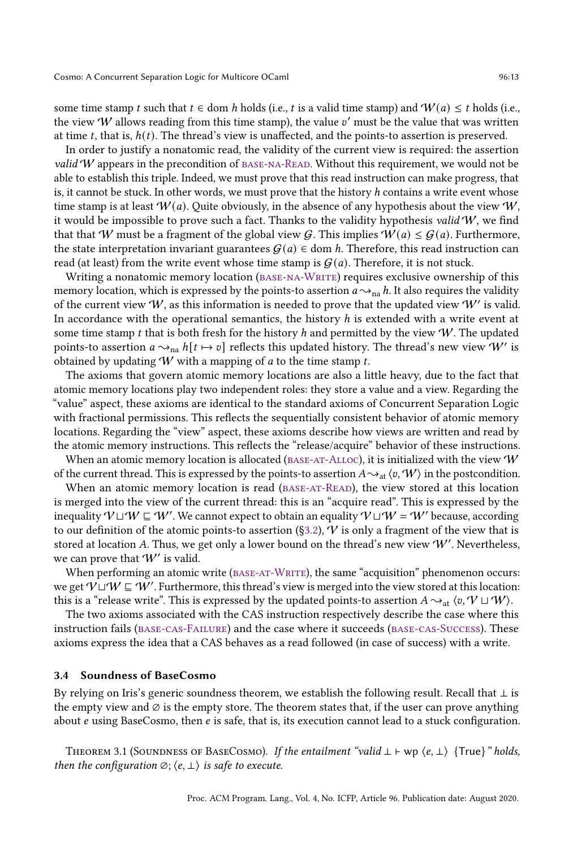some time stamp t such that  $t \in$  dom h holds (i.e., t is a valid time stamp) and  $W(a) \le t$  holds (i.e., the view  $W$  allows reading from this time stamp), the value  $v'$  must be the value that was written at time t, that is,  $h(t)$ . The thread's view is unaffected, and the points-to assertion is preserved.

In order to justify a nonatomic read, the validity of the current view is required: the assertion valid  $W$  appears in the precondition of BASE-NA-READ. Without this requirement, we would not be able to establish this triple. Indeed, we must prove that this read instruction can make progress, that is, it cannot be stuck. In other words, we must prove that the history  $h$  contains a write event whose time stamp is at least  $W(a)$ . Quite obviously, in the absence of any hypothesis about the view  $W$ , it would be impossible to prove such a fact. Thanks to the validity hypothesis valid  $W$ , we find that that W must be a fragment of the global view G. This implies  $W(a) \leq G(a)$ . Furthermore, the state interpretation invariant guarantees  $G(a) \in \text{dom } h$ . Therefore, this read instruction can read (at least) from the write event whose time stamp is  $G(a)$ . Therefore, it is not stuck.

Writing a nonatomic memory location (BASE-NA-WRITE) requires exclusive ownership of this memory location, which is expressed by the points-to assertion  $a \sim_{na} h$ . It also requires the validity of the current view  $W$ , as this information is needed to prove that the updated view  $W'$  is valid. In accordance with the operational semantics, the history  $h$  is extended with a write event at some time stamp t that is both fresh for the history h and permitted by the view  $W$ . The updated points-to assertion  $a\sim_{\text{na}} h[t \mapsto v]$  reflects this updated history. The thread's new view  $W'$  is obtained by updating  $W$  with a mapping of  $a$  to the time stamp  $t$ .

The axioms that govern atomic memory locations are also a little heavy, due to the fact that atomic memory locations play two independent roles: they store a value and a view. Regarding the łvaluež aspect, these axioms are identical to the standard axioms of Concurrent Separation Logic with fractional permissions. This reflects the sequentially consistent behavior of atomic memory locations. Regarding the "view" aspect, these axioms describe how views are written and read by the atomic memory instructions. This reflects the "release/acquire" behavior of these instructions.

When an atomic memory location is allocated ( $_{\text{BASE-AT-ALLOC}}$ ), it is initialized with the view W of the current thread. This is expressed by the points-to assertion  $A \sim_{\text{at}} \langle v, \mathcal{W} \rangle$  in the postcondition.

When an atomic memory location is read (BASE-AT-READ), the view stored at this location is merged into the view of the current thread: this is an "acquire read". This is expressed by the inequality  $\mathcal{W} \sqcup \mathcal{W} \sqsubseteq \mathcal{W}'$  . We cannot expect to obtain an equality  $\mathcal{V} \sqcup \mathcal{W} = \mathcal{W}'$  because, according to our definition of the atomic points-to assertion (§3.2),  $\hat{V}$  is only a fragment of the view that is stored at location A. Thus, we get only a lower bound on the thread's new view  $W'$ . Nevertheless, we can prove that  $W'$  is valid.

When performing an atomic write ( $_{BASE-AT-WRITE}$ ), the same "acquisition" phenomenon occurs: we get  $\mathcal{V} \sqcup \mathcal{W} \sqsubseteq \mathcal{W}'$ . Furthermore, this thread's view is merged into the view stored at this location: this is a "release write". This is expressed by the updated points-to assertion  $A \rightsquigarrow_{\text{at}} \langle v, V \sqcup W \rangle$ .

The two axioms associated with the CAS instruction respectively describe the case where this instruction fails [\(base-cas-Failure\)](#page-11-7) and the case where it succeeds [\(base-cas-Success\)](#page-11-8). These axioms express the idea that a CAS behaves as a read followed (in case of success) with a write.

#### <span id="page-12-0"></span>3.4 Soundness of BaseCosmo

By relying on Iris's generic soundness theorem, we establish the following result. Recall that ⊥ is the empty view and  $\varnothing$  is the empty store. The theorem states that, if the user can prove anything about  $e$  using BaseCosmo, then  $e$  is safe, that is, its execution cannot lead to a stuck configuration.

THEOREM 3.1 (SOUNDNESS OF BASECOSMO). If the entailment "valid  $\perp \vdash wp \langle e, \perp \rangle$  {True}" holds, then the configuration  $\emptyset$ ;  $\langle e, \perp \rangle$  is safe to execute.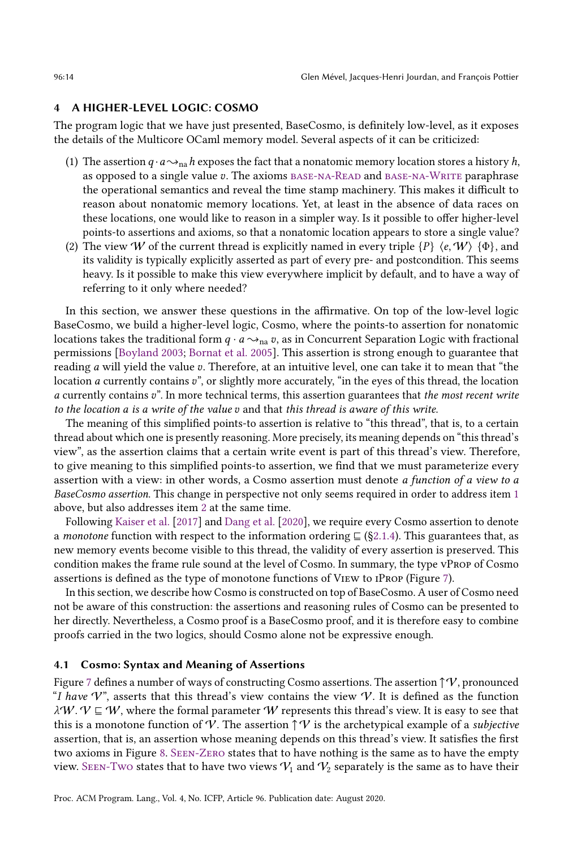## <span id="page-13-0"></span>4 A HIGHER-LEVEL LOGIC: COSMO

The program logic that we have just presented, BaseCosmo, is definitely low-level, as it exposes the details of the Multicore OCaml memory model. Several aspects of it can be criticized:

- <span id="page-13-1"></span>(1) The assertion  $q \cdot a \rightarrow_{na} h$  exposes the fact that a nonatomic memory location stores a history h, as opposed to a single value  $v$ . The axioms  $BASE-NA-READ$  and  $BASE-NA-WRITE$  paraphrase the operational semantics and reveal the time stamp machinery. This makes it difficult to reason about nonatomic memory locations. Yet, at least in the absence of data races on these locations, one would like to reason in a simpler way. Is it possible to offer higher-level points-to assertions and axioms, so that a nonatomic location appears to store a single value?
- <span id="page-13-2"></span>(2) The view W of the current thread is explicitly named in every triple  $\{P\}$   $\{e, W\}$   $\{\Phi\}$ , and its validity is typically explicitly asserted as part of every pre- and postcondition. This seems heavy. Is it possible to make this view everywhere implicit by default, and to have a way of referring to it only where needed?

In this section, we answer these questions in the affirmative. On top of the low-level logic BaseCosmo, we build a higher-level logic, Cosmo, where the points-to assertion for nonatomic locations takes the traditional form  $q \cdot a \rightarrow_{\text{na}} v$ , as in Concurrent Separation Logic with fractional permissions [\[Boyland 2003;](#page-27-13) [Bornat et al.](#page-27-14) [2005\]](#page-27-14). This assertion is strong enough to guarantee that reading  $a$  will yield the value  $v$ . Therefore, at an intuitive level, one can take it to mean that "the location *a* currently contains v", or slightly more accurately, "in the eyes of this thread, the location  $\alpha$  currently contains  $v$ ". In more technical terms, this assertion guarantees that the most recent write to the location  $a$  is a write of the value  $v$  and that this thread is aware of this write.

The meaning of this simplified points-to assertion is relative to "this thread", that is, to a certain thread about which one is presently reasoning. More precisely, its meaning depends on "this thread's viewž, as the assertion claims that a certain write event is part of this thread's view. Therefore, to give meaning to this simplified points-to assertion, we find that we must parameterize every assertion with a view: in other words, a Cosmo assertion must denote a function of a view to a BaseCosmo assertion. This change in perspective not only seems required in order to address item [1](#page-13-1) above, but also addresses item [2](#page-13-2) at the same time.

Following [Kaiser et al.](#page-27-8) [\[2017\]](#page-27-8) and [Dang et al.](#page-27-10) [\[2020\]](#page-27-10), we require every Cosmo assertion to denote a monotone function with respect to the information ordering  $\subseteq$  (§2.1.4). This guarantees that, as new memory events become visible to this thread, the validity of every assertion is preserved. This condition makes the frame rule sound at the level of Cosmo. In summary, the type vProp of Cosmo assertions is defined as the type of monotone functions of View to iProp (Figure [7\)](#page-14-0).

In this section, we describe how Cosmo is constructed on top of BaseCosmo. A user of Cosmo need not be aware of this construction: the assertions and reasoning rules of Cosmo can be presented to her directly. Nevertheless, a Cosmo proof is a BaseCosmo proof, and it is therefore easy to combine proofs carried in the two logics, should Cosmo alone not be expressive enough.

#### <span id="page-13-3"></span>4.1 Cosmo: Syntax and Meaning of Assertions

Figure [7](#page-14-0) defines a number of ways of constructing Cosmo assertions. The assertion  $\uparrow \mathcal{V}$ , pronounced "I have V", asserts that this thread's view contains the view V. It is defined as the function  $\lambda W. V \subseteq W$ , where the formal parameter W represents this thread's view. It is easy to see that this is a monotone function of V. The assertion  $\uparrow \mathcal{V}$  is the archetypical example of a *subjective* assertion, that is, an assertion whose meaning depends on this thread's view. It satisfies the first two axioms in Figure [8.](#page-16-1) [Seen-Zero](#page-16-2) states that to have nothing is the same as to have the empty view. SEEN-Two states that to have two views  $V_1$  and  $V_2$  separately is the same as to have their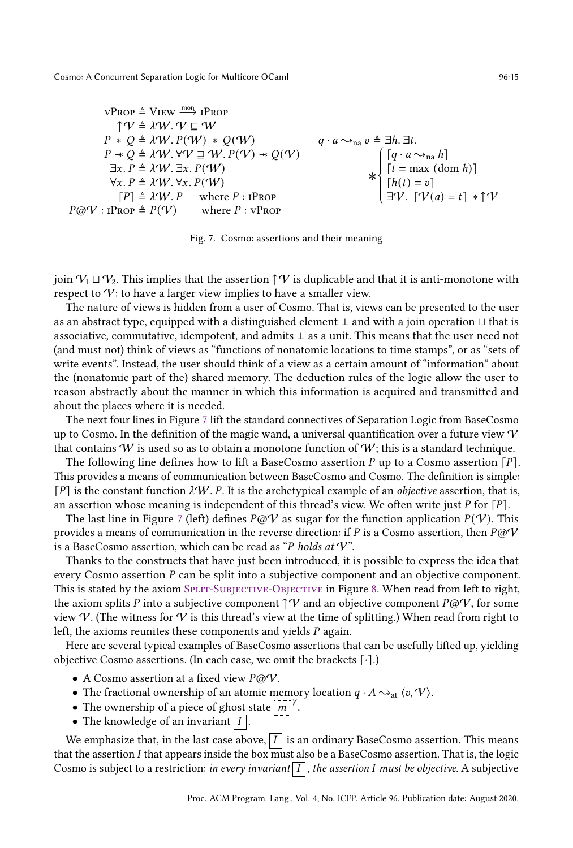<span id="page-14-0"></span>\n
$$
\begin{aligned}\n \n \text{vProp} &\triangleq \text{View} \xrightarrow{\text{mon}} \text{IPROP} \\
 \n \uparrow \text{V} \triangleq \lambda \text{W}. \, \text{V} \subseteq \text{W} \\
 P * Q &\triangleq \lambda \text{W}. \, P(\text{W}) * Q(\text{W}) \\
 P * Q &\triangleq \lambda \text{W}. \, \text{V} \forall \text{V} \sqsupseteq \text{W}. \, P(\text{V}) * Q(\text{V}) \\
 \exists x. \, P \triangleq \lambda \text{W}. \, \forall x. \, P(\text{W}) \\
 \forall x. \, P \triangleq \lambda \text{W}. \, \forall x. \, P(\text{W}) \\
 \text{V} \times P &\triangleq \lambda \text{W}. \, \forall x. \, P(\text{W}) \\
 \text{V} \times P &\triangleq \lambda \text{W}. \, \forall x. \, P(\text{W}) \\
 \text{V} \times P &\triangleq \text{W}. \, P \quad \text{where } P : \text{rProp} \\
 P \text{ @V} : \text{rProp} \triangleq P(\text{V}) \qquad \text{where } P : \text{vProp}\n \end{aligned}
$$
\n

Fig. 7. Cosmo: assertions and their meaning

join  $V_1 \sqcup V_2$ . This implies that the assertion  $\uparrow \mathcal{V}$  is duplicable and that it is anti-monotone with respect to  $V$ : to have a larger view implies to have a smaller view.

The nature of views is hidden from a user of Cosmo. That is, views can be presented to the user as an abstract type, equipped with a distinguished element ⊥ and with a join operation ⊔ that is associative, commutative, idempotent, and admits ⊥ as a unit. This means that the user need not (and must not) think of views as "functions of nonatomic locations to time stamps", or as "sets of write events". Instead, the user should think of a view as a certain amount of "information" about the (nonatomic part of the) shared memory. The deduction rules of the logic allow the user to reason abstractly about the manner in which this information is acquired and transmitted and about the places where it is needed.

The next four lines in Figure [7](#page-14-0) lift the standard connectives of Separation Logic from BaseCosmo up to Cosmo. In the definition of the magic wand, a universal quantification over a future view  $\mathcal V$ that contains W is used so as to obtain a monotone function of W; this is a standard technique.

The following line defines how to lift a BaseCosmo assertion  $P$  up to a Cosmo assertion  $[P]$ . This provides a means of communication between BaseCosmo and Cosmo. The definition is simple:  $[P]$  is the constant function  $\lambda W$ . P. It is the archetypical example of an *objective* assertion, that is, an assertion whose meaning is independent of this thread's view. We often write just  $P$  for  $[P]$ .

The last line in Figure [7](#page-14-0) (left) defines  $P@V$  as sugar for the function application  $P(V)$ . This provides a means of communication in the reverse direction: if P is a Cosmo assertion, then  $P\omega V$ is a BaseCosmo assertion, which can be read as "P holds at  $V$ ".

Thanks to the constructs that have just been introduced, it is possible to express the idea that every Cosmo assertion  $P$  can be split into a subjective component and an objective component. This is stated by the axiom SPLIT-SUBJECTIVE-OBJECTIVE in Figure [8.](#page-16-1) When read from left to right, the axiom splits P into a subjective component  $\uparrow \mathcal{V}$  and an objective component  $P\omega \mathcal{V}$ , for some view V. (The witness for V is this thread's view at the time of splitting.) When read from right to left, the axioms reunites these components and yields  $P$  again.

Here are several typical examples of BaseCosmo assertions that can be usefully lifted up, yielding objective Cosmo assertions. (In each case, we omit the brackets [·].)

- A Cosmo assertion at a fixed view  $P@V$ .
- The fractional ownership of an atomic memory location  $q \cdot A \rightarrow_{\text{at}} \langle v, \mathcal{V} \rangle$ .
- The ownership of a piece of ghost state  $\left[\overline{m}\right]^{\gamma}$ .
- The knowledge of an invariant  $|I|$

We emphasize that, in the last case above,  $\left|I\right|$  is an ordinary BaseCosmo assertion. This means that the assertion  $I$  that appears inside the box must also be a BaseCosmo assertion. That is, the logic Cosmo is subject to a restriction: in every invariant  $|I|$ , the assertion I must be objective. A subjective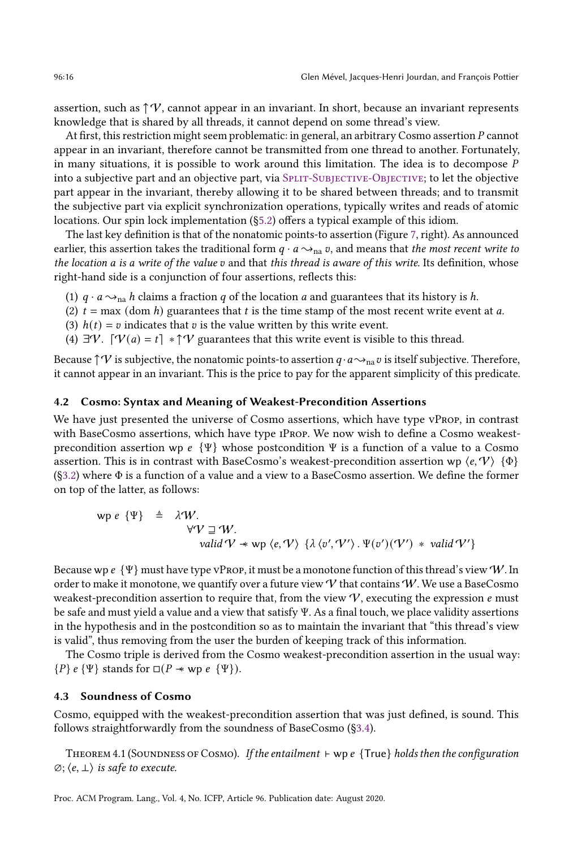assertion, such as  $\uparrow \mathcal{V}$ , cannot appear in an invariant. In short, because an invariant represents knowledge that is shared by all threads, it cannot depend on some thread's view.

At first, this restriction might seem problematic: in general, an arbitrary Cosmo assertion P cannot appear in an invariant, therefore cannot be transmitted from one thread to another. Fortunately, in many situations, it is possible to work around this limitation. The idea is to decompose  $P$ into a subjective part and an objective part, via [Split-Subjective-Objective;](#page-16-0) to let the objective part appear in the invariant, thereby allowing it to be shared between threads; and to transmit the subjective part via explicit synchronization operations, typically writes and reads of atomic locations. Our spin lock implementation ([ğ5.2\)](#page-19-0) offers a typical example of this idiom.

The last key definition is that of the nonatomic points-to assertion (Figure [7,](#page-14-0) right). As announced earlier, this assertion takes the traditional form  $q \cdot a \rightarrow_{na} v$ , and means that the most recent write to the location  $a$  is a write of the value  $v$  and that this thread is aware of this write. Its definition, whose right-hand side is a conjunction of four assertions, reflects this:

- (1)  $q \cdot a \rightarrow_{\text{na}} h$  claims a fraction q of the location q and guarantees that its history is h.
- (2)  $t = \max$  (dom h) guarantees that t is the time stamp of the most recent write event at a.
- (3)  $h(t) = v$  indicates that v is the value written by this write event.
- (4)  $\exists \mathcal{V}$ .  $\lceil \mathcal{V}(a) = t \rceil * \uparrow \mathcal{V}$  guarantees that this write event is visible to this thread.

Because  $\uparrow \mathcal{V}$  is subjective, the nonatomic points-to assertion  $q \cdot a \rightarrow_{\text{na}} v$  is itself subjective. Therefore, it cannot appear in an invariant. This is the price to pay for the apparent simplicity of this predicate.

## 4.2 Cosmo: Syntax and Meaning of Weakest-Precondition Assertions

We have just presented the universe of Cosmo assertions, which have type vProp, in contrast with BaseCosmo assertions, which have type iProp. We now wish to define a Cosmo weakestprecondition assertion wp  $e \{ \Psi \}$  whose postcondition  $\Psi$  is a function of a value to a Cosmo assertion. This is in contrast with BaseCosmo's weakest-precondition assertion wp  $\langle e, V \rangle$  { $\Phi$ } ([ğ3.2\)](#page-9-0) where Φ is a function of a value and a view to a BaseCosmo assertion. We define the former on top of the latter, as follows:

$$
wp e \{\Psi\} \triangleq \lambda^t W.
$$
  
\n
$$
\forall V \sqsupseteq W.
$$
  
\n
$$
valid V * wp \langle e, V \rangle \{ \lambda \langle v', V' \rangle . \Psi(v')(\langle V') * valid V' \rangle \}
$$

Because wp  $\epsilon \{ \Psi \}$  must have type vPROP, it must be a monotone function of this thread's view W. In order to make it monotone, we quantify over a future view  $\mathcal V$  that contains  $\mathcal W$ . We use a BaseCosmo weakest-precondition assertion to require that, from the view  $V$ , executing the expression  $e$  must be safe and must yield a value and a view that satisfy Ψ. As a final touch, we place validity assertions in the hypothesis and in the postcondition so as to maintain the invariant that "this thread's view is valid", thus removing from the user the burden of keeping track of this information.

The Cosmo triple is derived from the Cosmo weakest-precondition assertion in the usual way: { $P$ }  $e \Psi$ } stands for  $\square (P \ast wp e \Psi)$ .

#### 4.3 Soundness of Cosmo

Cosmo, equipped with the weakest-precondition assertion that was just defined, is sound. This follows straightforwardly from the soundness of BaseCosmo ([ğ3.4\)](#page-12-0).

Theorem 4.1 (Soundness of Cosmo). If the entailment ⊢ wp {True} holds then the configuration  $\emptyset$ ;  $\langle e, \perp \rangle$  is safe to execute.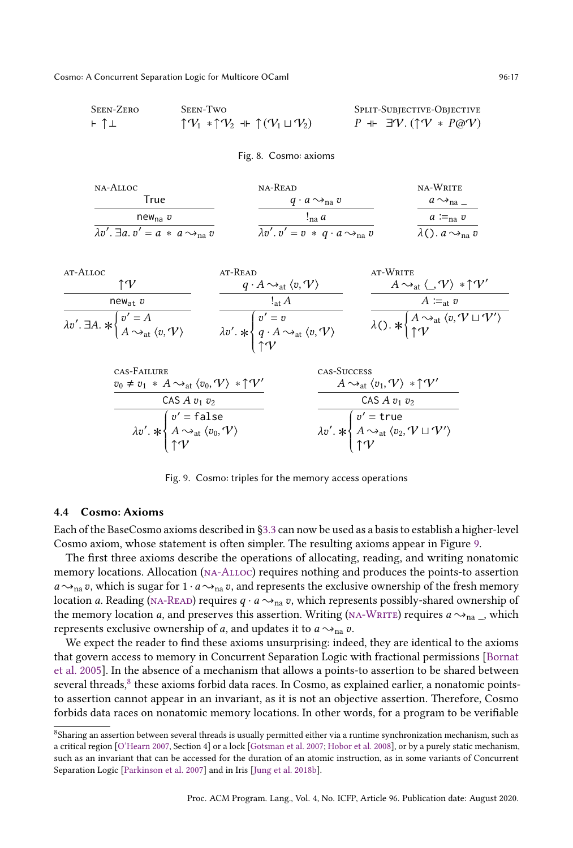<span id="page-16-1"></span>Seen-Zero ⊢ ↑⊥ Seen-Two Split-Subjective-Objective ⊣⊢ ∃V. (↑V ∗ @V)

<span id="page-16-3"></span><span id="page-16-2"></span><span id="page-16-0"></span>

| - ↑⊥ | $\uparrow V_1 * \uparrow V_2 + \uparrow (V_1 \sqcup V_2)$ | $P + \exists V. (\uparrow V * P@V)$ |  |
|------|-----------------------------------------------------------|-------------------------------------|--|
|      | Fig. 8. Cosmo: axioms                                     |                                     |  |

<span id="page-16-7"></span><span id="page-16-6"></span><span id="page-16-5"></span><span id="page-16-4"></span>

| na-Alloc                                                  | NA-READ                                                    | NA-WRITE                             |
|-----------------------------------------------------------|------------------------------------------------------------|--------------------------------------|
| True                                                      | $q \cdot a \rightarrow_{\text{na}} v$                      | $a \rightarrow_{na}$                 |
| $new_{na}$ $v$                                            | $\frac{1}{2}$ na $a$                                       | $a \coloneqq_{\text{na}} v$          |
| $\lambda v'$ . $\exists a. v' = a * a \rightarrow_{na} v$ | $\lambda v'. v' = v * q \cdot a \rightarrow_{\text{na}} v$ | $\lambda$ (). $a \rightarrow_{na} v$ |

<span id="page-16-9"></span>

<span id="page-16-12"></span><span id="page-16-11"></span><span id="page-16-10"></span>

| CAS-FAILURE                                                                                                                   | CAS-SUCCESS                                                                                                                     |
|-------------------------------------------------------------------------------------------------------------------------------|---------------------------------------------------------------------------------------------------------------------------------|
| $v_0 \neq v_1 * A \rightarrow_{\text{at}} \langle v_0, V \rangle * \uparrow V'$                                               | $A \rightarrow_{\text{at}} \langle v_1, V \rangle * \uparrow V'$                                                                |
| CAS $A v_1 v_2$                                                                                                               | CAS $A v_1 v_2$                                                                                                                 |
| $\lambda v'. * \begin{cases} v' = \text{false} \\ A \rightarrow_{\text{at}} \langle v_0, V \rangle \\ \uparrow V \end{cases}$ | $\lambda v'. * \begin{cases} v' = \text{true} \\ A \sim_{\text{at}} \langle v_2, V \sqcup V' \rangle \\ \uparrow V \end{cases}$ |
|                                                                                                                               |                                                                                                                                 |
|                                                                                                                               |                                                                                                                                 |
|                                                                                                                               |                                                                                                                                 |

<span id="page-16-13"></span>Fig. 9. Cosmo: triples for the memory access operations

## <span id="page-16-14"></span>4.4 Cosmo: Axioms

Each of the BaseCosmo axioms described in [ğ3.3](#page-10-0) can now be used as a basis to establish a higher-level Cosmo axiom, whose statement is often simpler. The resulting axioms appear in Figure [9.](#page-16-4)

The first three axioms describe the operations of allocating, reading, and writing nonatomic memory locations. Allocation [\(na-Alloc\)](#page-16-5) requires nothing and produces the points-to assertion  $a \rightarrow_{\text{na}} v$ , which is sugar for  $1 \cdot a \rightarrow_{\text{na}} v$ , and represents the exclusive ownership of the fresh memory location a. Reading (NA-READ) requires  $q \cdot a \rightarrow_{na} v$ , which represents possibly-shared ownership of the memory location a, and preserves this assertion. Writing (NA-WRITE) requires  $a \rightarrow_{na}$ , which represents exclusive ownership of *a*, and updates it to  $a \rightarrow_{na} v$ .

We expect the reader to find these axioms unsurprising: indeed, they are identical to the axioms that govern access to memory in Concurrent Separation Logic with fractional permissions [\[Bornat](#page-27-14) [et al.](#page-27-14) [2005\]](#page-27-14). In the absence of a mechanism that allows a points-to assertion to be shared between several threads,<sup>[8](#page-16-8)</sup> these axioms forbid data races. In Cosmo, as explained earlier, a nonatomic pointsto assertion cannot appear in an invariant, as it is not an objective assertion. Therefore, Cosmo forbids data races on nonatomic memory locations. In other words, for a program to be verifiable

<span id="page-16-8"></span> $^8$ Sharing an assertion between several threads is usually permitted either via a runtime synchronization mechanism, such as a critical region [\[O'Hearn 2007,](#page-28-6) Section 4] or a lock [\[Gotsman et al.](#page-27-11) [2007;](#page-27-11) [Hobor et al.](#page-27-12) [2008\]](#page-27-12), or by a purely static mechanism, such as an invariant that can be accessed for the duration of an atomic instruction, as in some variants of Concurrent Separation Logic [\[Parkinson et al. 2007\]](#page-28-7) and in Iris [\[Jung et al. 2018b\]](#page-27-9).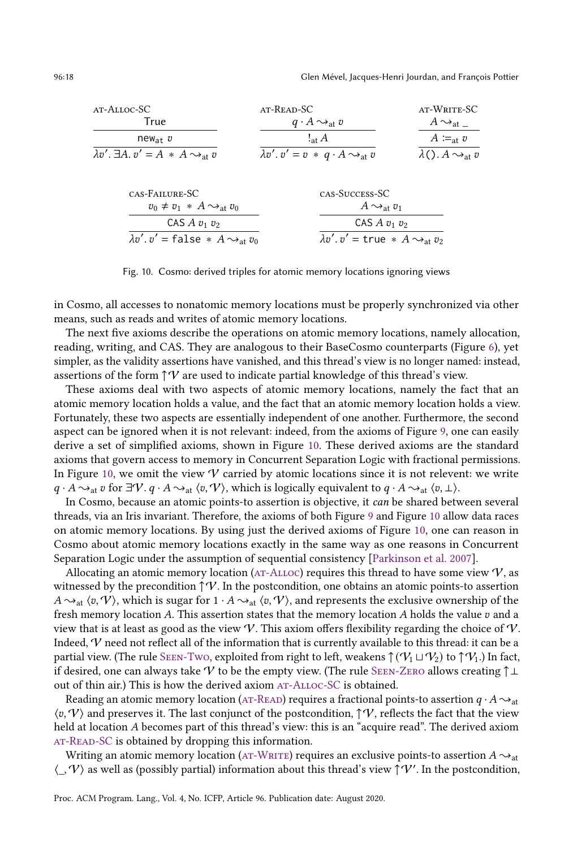<span id="page-17-2"></span><span id="page-17-1"></span><span id="page-17-0"></span>

<span id="page-17-5"></span><span id="page-17-4"></span><span id="page-17-3"></span>Fig. 10. Cosmo: derived triples for atomic memory locations ignoring views

in Cosmo, all accesses to nonatomic memory locations must be properly synchronized via other means, such as reads and writes of atomic memory locations.

The next five axioms describe the operations on atomic memory locations, namely allocation, reading, writing, and CAS. They are analogous to their BaseCosmo counterparts (Figure [6\)](#page-11-1), yet simpler, as the validity assertions have vanished, and this thread's view is no longer named: instead, assertions of the form  $\uparrow \mathcal{V}$  are used to indicate partial knowledge of this thread's view.

These axioms deal with two aspects of atomic memory locations, namely the fact that an atomic memory location holds a value, and the fact that an atomic memory location holds a view. Fortunately, these two aspects are essentially independent of one another. Furthermore, the second aspect can be ignored when it is not relevant: indeed, from the axioms of Figure [9,](#page-16-4) one can easily derive a set of simplified axioms, shown in Figure [10.](#page-17-0) These derived axioms are the standard axioms that govern access to memory in Concurrent Separation Logic with fractional permissions. In Figure [10,](#page-17-0) we omit the view  $V$  carried by atomic locations since it is not relevent: we write  $q \cdot A \rightarrow_{\text{at}} v$  for  $\exists V. q \cdot A \rightarrow_{\text{at}} \langle v, V \rangle$ , which is logically equivalent to  $q \cdot A \rightarrow_{\text{at}} \langle v, \perp \rangle$ .

In Cosmo, because an atomic points-to assertion is objective, it can be shared between several threads, via an Iris invariant. Therefore, the axioms of both Figure [9](#page-16-4) and Figure [10](#page-17-0) allow data races on atomic memory locations. By using just the derived axioms of Figure [10,](#page-17-0) one can reason in Cosmo about atomic memory locations exactly in the same way as one reasons in Concurrent Separation Logic under the assumption of sequential consistency [\[Parkinson et al. 2007\]](#page-28-7).

Allocating an atomic memory location ( $AT-ALLOC$ ) requires this thread to have some view  $V$ , as witnessed by the precondition  $\uparrow \mathcal{V}$ . In the postcondition, one obtains an atomic points-to assertion  ${A \sim_{at} \langle v, V \rangle}$ , which is sugar for  $1 \cdot A \sim_{at} \langle v, V \rangle$ , and represents the exclusive ownership of the fresh memory location  $A$ . This assertion states that the memory location  $A$  holds the value  $v$  and a view that is at least as good as the view  $\mathcal V$ . This axiom offers flexibility regarding the choice of  $\mathcal V$ . Indeed, V need not reflect all of the information that is currently available to this thread: it can be a partial view. (The rule SEEN-Two, exploited from right to left, weakens  $\uparrow (\mathcal{V}_1 \sqcup \mathcal{V}_2)$  to  $\uparrow \mathcal{V}_1$ .) In fact, if desired, one can always take V to be the empty view. (The rule SEEN-ZERO allows creating  $\uparrow \perp$ out of thin air.) This is how the derived axiom AT-ALLOC-SC is obtained.

Reading an atomic memory location (AT-READ) requires a fractional points-to assertion  $q \cdot A \sim_{at}$  $\langle v, V \rangle$  and preserves it. The last conjunct of the postcondition,  $\uparrow V$ , reflects the fact that the view held at location A becomes part of this thread's view: this is an "acquire read". The derived axiom AT-READ-SC is obtained by dropping this information.

Writing an atomic memory location (AT-WRITE) requires an exclusive points-to assertion  $A \sim_{at}$  $\langle \_, \mathcal{V} \rangle$  as well as (possibly partial) information about this thread's view  $\hat{\uparrow} \mathcal{V}'$ . In the postcondition,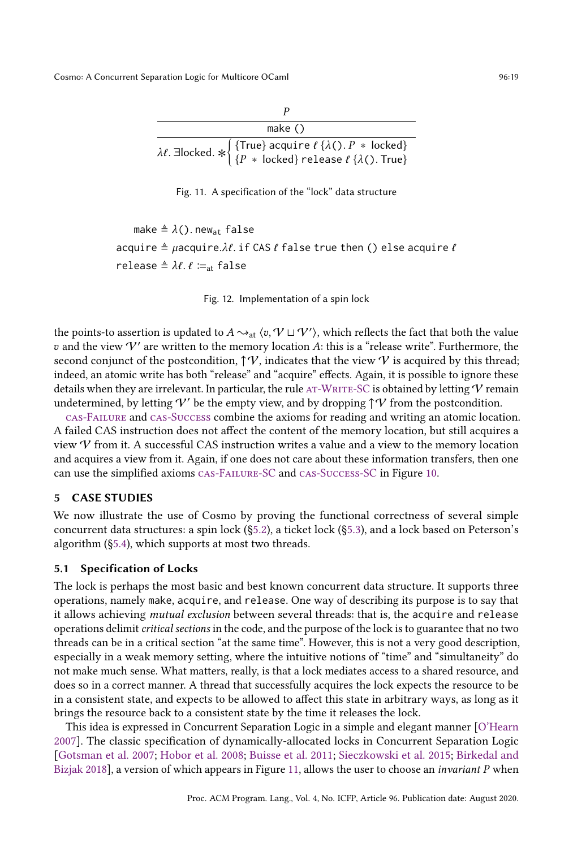Fig. 11. A specification of the "lock" data structure

```
make \triangleq \lambda(). new<sub>at</sub> false
acquire \triangleq \muacquire.\lambda \ell. if CAS \ell false true then () else acquire \ellrelease ≜ \lambda \ell. \ell \coloneqq_{\text{at}} false
```
Fig. 12. Implementation of a spin lock

the points-to assertion is updated to  $A \leadsto_{\textup{at}} \langle v, \mathcal{V} \sqcup \mathcal{V}' \rangle$ , which reflects the fact that both the value v and the view  $V'$  are written to the memory location A: this is a "release write". Furthermore, the second conjunct of the postcondition,  $\uparrow \mathcal{V}$ , indicates that the view  $\mathcal V$  is acquired by this thread; indeed, an atomic write has both "release" and "acquire" effects. Again, it is possible to ignore these details when they are irrelevant. In particular, the rule AT-WRITE-SC is obtained by letting  $V$  remain undetermined, by letting  $V'$  be the empty view, and by dropping  $\uparrow \mathcal{V}$  from the postcondition.

[cas-Failure](#page-16-12) and [cas-Success](#page-16-13) combine the axioms for reading and writing an atomic location. A failed CAS instruction does not affect the content of the memory location, but still acquires a view  $\mathcal V$  from it. A successful CAS instruction writes a value and a view to the memory location and acquires a view from it. Again, if one does not care about these information transfers, then one can use the simplified axioms [cas-Failure-SC](#page-17-4) and [cas-Success-SC](#page-17-5) in Figure [10.](#page-17-0)

# <span id="page-18-0"></span>5 CASE STUDIES

We now illustrate the use of Cosmo by proving the functional correctness of several simple concurrent data structures: a spin lock ([ğ5.2\)](#page-19-0), a ticket lock ([ğ5.3\)](#page-20-0), and a lock based on Peterson's algorithm ([ğ5.4\)](#page-22-0), which supports at most two threads.

#### 5.1 Specification of Locks

The lock is perhaps the most basic and best known concurrent data structure. It supports three operations, namely make, acquire, and release. One way of describing its purpose is to say that it allows achieving mutual exclusion between several threads: that is, the acquire and release operations delimit critical sections in the code, and the purpose of the lock is to guarantee that no two threads can be in a critical section "at the same time". However, this is not a very good description, especially in a weak memory setting, where the intuitive notions of "time" and "simultaneity" do not make much sense. What matters, really, is that a lock mediates access to a shared resource, and does so in a correct manner. A thread that successfully acquires the lock expects the resource to be in a consistent state, and expects to be allowed to affect this state in arbitrary ways, as long as it brings the resource back to a consistent state by the time it releases the lock.

This idea is expressed in Concurrent Separation Logic in a simple and elegant manner [\[O'Hearn](#page-28-6) [2007\]](#page-28-6). The classic specification of dynamically-allocated locks in Concurrent Separation Logic [\[Gotsman et al.](#page-27-11) [2007;](#page-27-11) [Hobor et al.](#page-27-12) [2008;](#page-27-12) [Buisse et al.](#page-27-15) [2011;](#page-27-15) [Sieczkowski et al.](#page-28-2) [2015;](#page-28-2) [Birkedal and](#page-27-16) [Bizjak 2018\]](#page-27-16), a version of which appears in Figure [11,](#page-18-1) allows the user to choose an *invariant P* when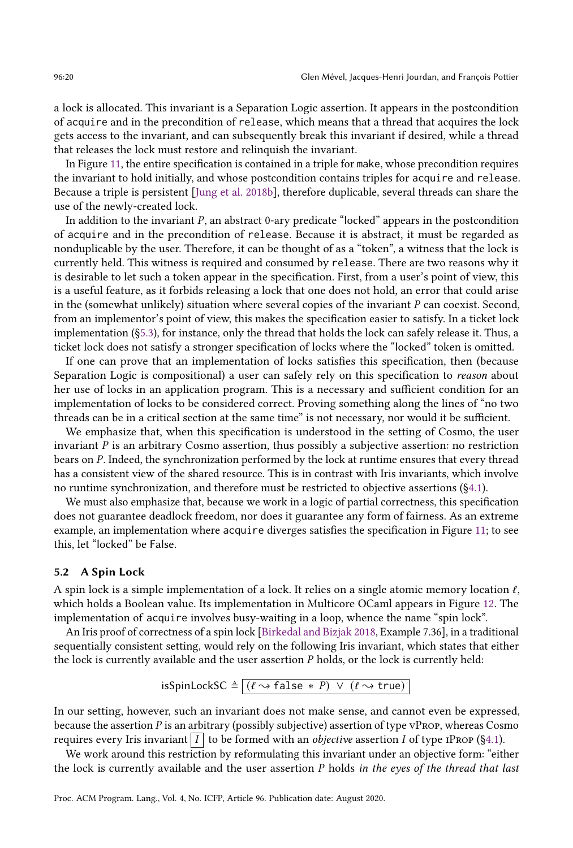a lock is allocated. This invariant is a Separation Logic assertion. It appears in the postcondition of acquire and in the precondition of release, which means that a thread that acquires the lock gets access to the invariant, and can subsequently break this invariant if desired, while a thread that releases the lock must restore and relinquish the invariant.

In Figure [11,](#page-18-1) the entire specification is contained in a triple for make, whose precondition requires the invariant to hold initially, and whose postcondition contains triples for acquire and release. Because a triple is persistent [\[Jung et al.](#page-27-9) [2018b\]](#page-27-9), therefore duplicable, several threads can share the use of the newly-created lock.

In addition to the invariant  $P$ , an abstract 0-ary predicate "locked" appears in the postcondition of acquire and in the precondition of release. Because it is abstract, it must be regarded as nonduplicable by the user. Therefore, it can be thought of as a "token", a witness that the lock is currently held. This witness is required and consumed by release. There are two reasons why it is desirable to let such a token appear in the specification. First, from a user's point of view, this is a useful feature, as it forbids releasing a lock that one does not hold, an error that could arise in the (somewhat unlikely) situation where several copies of the invariant  $P$  can coexist. Second, from an implementor's point of view, this makes the specification easier to satisfy. In a ticket lock implementation ([ğ5.3\)](#page-20-0), for instance, only the thread that holds the lock can safely release it. Thus, a ticket lock does not satisfy a stronger specification of locks where the "locked" token is omitted.

If one can prove that an implementation of locks satisfies this specification, then (because Separation Logic is compositional) a user can safely rely on this specification to reason about her use of locks in an application program. This is a necessary and sufficient condition for an implementation of locks to be considered correct. Proving something along the lines of "no two threads can be in a critical section at the same timež is not necessary, nor would it be sufficient.

We emphasize that, when this specification is understood in the setting of Cosmo, the user invariant  $P$  is an arbitrary Cosmo assertion, thus possibly a subjective assertion: no restriction bears on P. Indeed, the synchronization performed by the lock at runtime ensures that every thread has a consistent view of the shared resource. This is in contrast with Iris invariants, which involve no runtime synchronization, and therefore must be restricted to objective assertions ([ğ4.1\)](#page-13-3).

We must also emphasize that, because we work in a logic of partial correctness, this specification does not guarantee deadlock freedom, nor does it guarantee any form of fairness. As an extreme example, an implementation where acquire diverges satisfies the specification in Figure [11;](#page-18-1) to see this, let "locked" be False.

#### <span id="page-19-0"></span>5.2 A Spin Lock

A spin lock is a simple implementation of a lock. It relies on a single atomic memory location  $\ell$ , which holds a Boolean value. Its implementation in Multicore OCaml appears in Figure [12.](#page-18-2) The implementation of acquire involves busy-waiting in a loop, whence the name "spin lock".

An Iris proof of correctness of a spin lock [\[Birkedal and Bizjak 2018,](#page-27-16) Example 7.36], in a traditional sequentially consistent setting, would rely on the following Iris invariant, which states that either the lock is currently available and the user assertion  $P$  holds, or the lock is currently held:

isSpinLockSC 
$$
\triangleq
$$
  $[(\ell \rightarrow false * P) \lor (\ell \rightarrow true)]$ 

In our setting, however, such an invariant does not make sense, and cannot even be expressed, because the assertion  $P$  is an arbitrary (possibly subjective) assertion of type vPROP, whereas Cosmo requires every Iris invariant  $\overline{I}$  to be formed with an *objective* assertion  $\overline{I}$  of type IPROP (§4.1).

We work around this restriction by reformulating this invariant under an objective form: "either the lock is currently available and the user assertion  $P$  holds in the eyes of the thread that last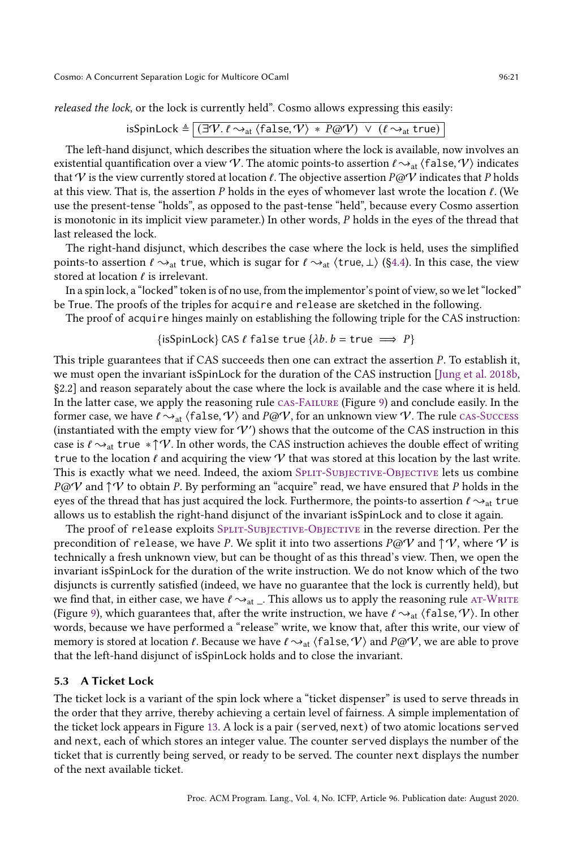released the lock, or the lock is currently held". Cosmo allows expressing this easily:

isSpinLock 
$$
\triangleq
$$
  $\boxed{(\exists \mathcal{V}.\ell \rightarrow_{\text{at}} \langle \text{false}, \mathcal{V} \rangle * P \textcircled{v}) \lor (\ell \rightarrow_{\text{at}} \text{true})}$ 

The left-hand disjunct, which describes the situation where the lock is available, now involves an existential quantification over a view V. The atomic points-to assertion  $\ell \sim_{\text{at}} \langle false, \gamma \rangle$  indicates that V is the view currently stored at location  $\ell$ . The objective assertion  $P\omega V$  indicates that P holds at this view. That is, the assertion  $P$  holds in the eyes of whomever last wrote the location  $\ell$ . (We use the present-tense "holds", as opposed to the past-tense "held", because every Cosmo assertion is monotonic in its implicit view parameter.) In other words,  $P$  holds in the eyes of the thread that last released the lock.

The right-hand disjunct, which describes the case where the lock is held, uses the simplified points-to assertion  $\ell \rightarrow_{\text{at}}$  true, which is sugar for  $\ell \rightarrow_{\text{at}}$  (true,  $\bot$ ) (§4.4). In this case, the view stored at location  $\ell$  is irrelevant.

In a spin lock, a "locked" token is of no use, from the implementor's point of view, so we let "locked" be True. The proofs of the triples for acquire and release are sketched in the following.

The proof of acquire hinges mainly on establishing the following triple for the CAS instruction:

# $\{isSpinLock\}$  CAS  $\ell$  false true  $\{\lambda b. b = \text{true} \implies P\}$

This triple guarantees that if CAS succeeds then one can extract the assertion  $P$ . To establish it, we must open the invariant isSpinLock for the duration of the CAS instruction [\[Jung et al.](#page-27-9) [2018b,](#page-27-9) ğ2.2] and reason separately about the case where the lock is available and the case where it is held. In the latter case, we apply the reasoning rule [cas-Failure](#page-16-12) (Figure [9\)](#page-16-4) and conclude easily. In the former case, we have  $\ell \sim_{\text{at}} \langle false, \mathcal{V} \rangle$  and  $P\omega \mathcal{V}$ , for an unknown view  $\mathcal{V}$ . The rule [cas-Success](#page-16-13) (instantiated with the empty view for  $V'$ ) shows that the outcome of the CAS instruction in this case is  $\ell \rightarrow_{\text{at}} \text{true} * \uparrow \mathcal{V}$ . In other words, the CAS instruction achieves the double effect of writing true to the location  $\ell$  and acquiring the view  $\mathcal V$  that was stored at this location by the last write. This is exactly what we need. Indeed, the axiom SPLIT-SUBJECTIVE-OBJECTIVE lets us combine  $P@V$  and  $\uparrow \vee$  to obtain P. By performing an "acquire" read, we have ensured that P holds in the eyes of the thread that has just acquired the lock. Furthermore, the points-to assertion  $\ell \sim_{\text{at}}$  true allows us to establish the right-hand disjunct of the invariant isSpinLock and to close it again.

The proof of release exploits SPLIT-SUBJECTIVE-OBJECTIVE in the reverse direction. Per the precondition of release, we have P. We split it into two assertions  $P@V$  and  $\uparrow \vee$ , where  $\vee$  is technically a fresh unknown view, but can be thought of as this thread's view. Then, we open the invariant isSpinLock for the duration of the write instruction. We do not know which of the two disjuncts is currently satisfied (indeed, we have no guarantee that the lock is currently held), but we find that, in either case, we have  $\ell \sim_{\text{at}}$ . This allows us to apply the reasoning rule AT-WRITE (Figure [9\)](#page-16-4), which guarantees that, after the write instruction, we have  $\ell \sim_{\text{at}} \langle false, \mathcal{V} \rangle$ . In other words, because we have performed a "release" write, we know that, after this write, our view of memory is stored at location  $\ell$ . Because we have  $\ell \rightarrow_{\text{at}} \langle \text{false}, \mathcal{V} \rangle$  and  $P@V$ , we are able to prove that the left-hand disjunct of isSpinLock holds and to close the invariant.

#### <span id="page-20-0"></span>5.3 A Ticket Lock

The ticket lock is a variant of the spin lock where a "ticket dispenser" is used to serve threads in the order that they arrive, thereby achieving a certain level of fairness. A simple implementation of the ticket lock appears in Figure [13.](#page-21-0) A lock is a pair (served, next) of two atomic locations served and next, each of which stores an integer value. The counter served displays the number of the ticket that is currently being served, or ready to be served. The counter next displays the number of the next available ticket.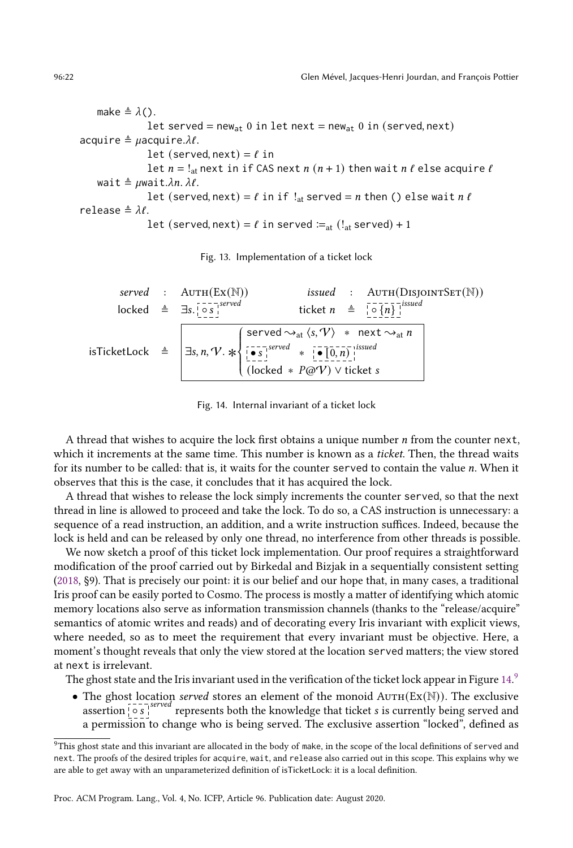make  $\triangleq \lambda()$ . let served = new<sub>at</sub> 0 in let next = new<sub>at</sub> 0 in (served, next) acquire  $\triangleq \mu$ acquire. $\lambda \ell$ . let (served, next) =  $\ell$  in let  $n = !_{at}$  next in if CAS next  $n (n + 1)$  then wait  $n \ell$  else acquire  $\ell$ wait  $\triangleq \mu$ wait. $\lambda n$ .  $\lambda \ell$ . let (served, next) =  $\ell$  in if  $!_{at}$  served =  $n$  then () else wait  $n \ell$ release  $\triangleq \lambda \ell$ . let (served, next) =  $\ell$  in served  $:=_{at}$  ( $!_{at}$  served) + 1

Fig. 13. Implementation of a ticket lock

<span id="page-21-1"></span>
$$
served : \text{AUTH}(\text{Ex}(\mathbb{N})) \qquad \text{is sued} : \text{AUTH}(\text{DisjonNTSET}(\mathbb{N}))
$$
\n
$$
\text{locked} \triangleq \exists s. \left[\begin{array}{cc} \circ & \circ & \circ \\ \circ & \circ & \circ \end{array}\right]
$$
\n
$$
\text{isTicketLock} \triangleq \left[\begin{array}{cc} \text{served} \sim_{\text{at}} \langle s, \mathcal{V} \rangle & * \text{ next } \sim_{\text{at}} n \\ \hline \circ & \circ & \circ \end{array}\right]
$$
\n
$$
\text{isTicketLock} \triangleq \left[\begin{array}{cc} \text{served} \sim_{\text{at}} \langle s, \mathcal{V} \rangle & * \text{ next } \sim_{\text{at}} n \\ \hline \circ & \circ & \circ \end{array}\right]
$$
\n
$$
\text{isTicketLock} \triangleq \left[\begin{array}{cc} \text{served} & * \left[\begin{array}{c} \circ & \circ & \circ \\ \circ & \circ & \circ \end{array}\right] \end{array}\right]
$$
\n
$$
\text{(locked} * P\textcircled{aV}) \vee \text{tickes}
$$

Fig. 14. Internal invariant of a ticket lock

A thread that wishes to acquire the lock first obtains a unique number  $n$  from the counter next, which it increments at the same time. This number is known as a *ticket*. Then, the thread waits for its number to be called: that is, it waits for the counter served to contain the value  $n$ . When it observes that this is the case, it concludes that it has acquired the lock.

A thread that wishes to release the lock simply increments the counter served, so that the next thread in line is allowed to proceed and take the lock. To do so, a CAS instruction is unnecessary: a sequence of a read instruction, an addition, and a write instruction suffices. Indeed, because the lock is held and can be released by only one thread, no interference from other threads is possible.

We now sketch a proof of this ticket lock implementation. Our proof requires a straightforward modification of the proof carried out by Birkedal and Bizjak in a sequentially consistent setting [\(2018,](#page-27-16) ğ9). That is precisely our point: it is our belief and our hope that, in many cases, a traditional Iris proof can be easily ported to Cosmo. The process is mostly a matter of identifying which atomic memory locations also serve as information transmission channels (thanks to the "release/acquire" semantics of atomic writes and reads) and of decorating every Iris invariant with explicit views, where needed, so as to meet the requirement that every invariant must be objective. Here, a moment's thought reveals that only the view stored at the location served matters; the view stored at next is irrelevant.

The ghost state and the Iris invariant used in the verification of the ticket lock appear in Figure  $14.9$  $14.9$ 

• The ghost location served stores an element of the monoid  $A\text{uTH}(Ex(N))$ . The exclusive assertion  $\int \circ s \int$ a permission to change who is being served. The exclusive assertion "locked", defined as

<span id="page-21-0"></span>

<span id="page-21-2"></span><sup>&</sup>lt;sup>9</sup>This ghost state and this invariant are allocated in the body of make, in the scope of the local definitions of served and next. The proofs of the desired triples for acquire, wait, and release also carried out in this scope. This explains why we are able to get away with an unparameterized definition of isTicketLock: it is a local definition.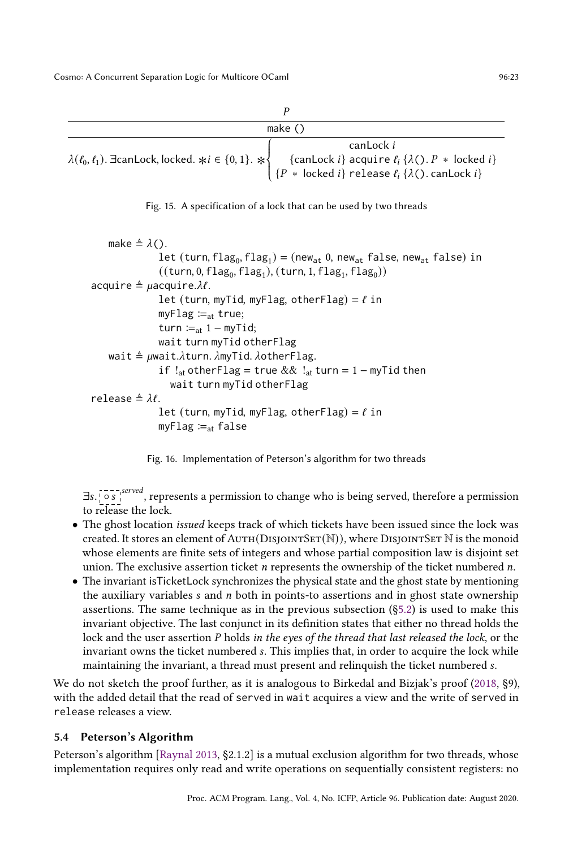<span id="page-22-1"></span>

| make $()$                                                                             |                                                                                                                                                               |  |
|---------------------------------------------------------------------------------------|---------------------------------------------------------------------------------------------------------------------------------------------------------------|--|
|                                                                                       | canLock i                                                                                                                                                     |  |
| $\lambda(\ell_0, \ell_1)$ . EcanLock, locked. $\forall i \in \{0, 1\}$ . $\forall \}$ |                                                                                                                                                               |  |
|                                                                                       | {canLock <i>i</i> } acquire $\ell_i$ { $\lambda$ (). $P$ * locked <i>i</i> }<br>{ $P$ * locked <i>i</i> } release $\ell_i$ { $\lambda$ (). canLock <i>i</i> } |  |

Fig. 15. A specification of a lock that can be used by two threads

J.

```
make \triangleq \lambda().
                    let (turn, flag<sub>0</sub>, flag<sub>1</sub>) = (new<sub>at</sub> 0, new<sub>at</sub> false, new<sub>at</sub> false) in((\textsf{turn}, 0, \textsf{flag}_0, \textsf{flag}_1), (\textsf{turn}, 1, \textsf{flag}_1, \textsf{flag}_0))acquire \triangleq \muacquire.\lambda \ell.
                    let (turn, myTid, myFlag, otherFlag) = \ell in
                    myFlag :=<sub>at</sub> true;
                    turn :=<sub>at</sub> 1 − myTid;
                    wait turn myTid otherFlag
     wait \triangleq \muwait.\lambdaturn. \lambdamyTid. \lambdaotherFlag.
                    if !_{at} otherFlag = true && !_{at} turn = 1 – myTid then
                       wait turn myTid otherFlag
release \triangleq \lambda \ell.
                    let (turn, myTid, myFlag, otherFlag) = \ell in
                    myFlag :=<sub>at</sub> false
```
Fig. 16. Implementation of Peterson's algorithm for two threads

∃s. [○s], served, represents a permission to change who is being served, therefore a permission to release the lock.

- The ghost location issued keeps track of which tickets have been issued since the lock was created. It stores an element of  $AUTH(DISJONTSET(N))$ , where DISJOINTSET N is the monoid whose elements are finite sets of integers and whose partial composition law is disjoint set union. The exclusive assertion ticket  $n$  represents the ownership of the ticket numbered  $n$ .
- The invariant isTicketLock synchronizes the physical state and the ghost state by mentioning the auxiliary variables  $s$  and  $n$  both in points-to assertions and in ghost state ownership assertions. The same technique as in the previous subsection ([ğ5.2\)](#page-19-0) is used to make this invariant objective. The last conjunct in its definition states that either no thread holds the lock and the user assertion P holds in the eyes of the thread that last released the lock, or the invariant owns the ticket numbered s. This implies that, in order to acquire the lock while maintaining the invariant, a thread must present and relinquish the ticket numbered .

We do not sketch the proof further, as it is analogous to Birkedal and Bizjak's proof [\(2018,](#page-27-16) §9), with the added detail that the read of served in wait acquires a view and the write of served in release releases a view.

# <span id="page-22-0"></span>5.4 Peterson's Algorithm

Peterson's algorithm [\[Raynal 2013,](#page-28-8) ğ2.1.2] is a mutual exclusion algorithm for two threads, whose implementation requires only read and write operations on sequentially consistent registers: no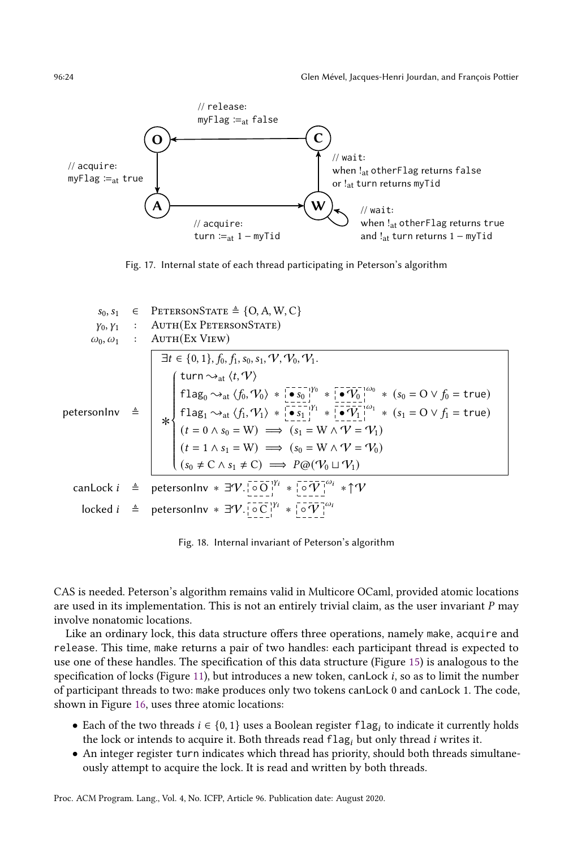<span id="page-23-0"></span>

Fig. 17. Internal state of each thread participating in Peterson's algorithm

<span id="page-23-1"></span>
$$
s_{0}, s_{1} \in \text{PETERSONSTATE} \triangleq \{O, A, W, C\}
$$
\n
$$
\varphi_{0}, \varphi_{1} \in \text{AUTH}(\text{EX PETERSONSTATE})
$$
\n
$$
\omega_{0}, \omega_{1} \in \text{AUTH}(\text{EX VIEW})
$$
\n
$$
\exists t \in \{0, 1\}, f_{0}, f_{1}, s_{0}, s_{1}, \mathcal{V}, \mathcal{V}_{0}, \mathcal{V}_{1}.
$$
\n
$$
\mathbf{t} = \{0, 1\}, f_{0}, f_{1}, s_{0}, s_{1}, \mathcal{V}, \mathcal{V}_{0}, \mathcal{V}_{1}.
$$
\n
$$
\mathbf{t} = \{0, 1\}, f_{0}, f_{1}, s_{0}, s_{1}, \mathcal{V}, \mathcal{V}_{0}, \mathcal{V}_{1}.
$$
\n
$$
\mathbf{t} = \{0, 1\}, f_{0}, f_{1}, s_{0}, s_{1}, \mathcal{V}, \mathcal{V}_{0}, \mathcal{V}_{1}.
$$
\n
$$
\mathbf{t} = \{0, 1\}, f_{0}, f_{1}, s_{0}, s_{1}, \mathcal{V}, \mathcal{V}_{0}, \mathcal{V}_{1}.
$$
\n
$$
\mathbf{t} = \{0, 1\}, f_{0}, f_{1}, s_{0}, s_{1}, \mathcal{V}, \mathcal{V}_{0}, \mathcal{V}_{1}.
$$
\n
$$
\mathbf{t} = \{0, 1\}, f_{0}, f_{1}, s_{0}, s_{1}, \mathcal{V}, \mathcal{V}_{0}, \mathcal{V}_{1}.
$$
\n
$$
\mathbf{t} = \{0, 1\}, f_{0}, f_{1}, s_{0}, s_{1}, \mathcal{V}, \mathcal{V}_{0}, \mathcal{V}_{1}.
$$
\n
$$
\mathbf{t} = \{0, 1\}, f_{0}, f_{1}, s_{0}, s_{1}, \mathcal{V}, \mathcal{V}_{0}, \mathcal{V}_{1}.
$$
\n
$$
\mathbf{t} = \{0, 1\}, f_{0}, f_{1}, s_{0}, s_{1}, \mathcal{V}, \mathcal{V}_{0}, \mathcal{V}_{1}.
$$
\n
$$
\mathbf{t} = \{0, 1\}, f_{0}, f_{1}, s_{0
$$

Fig. 18. Internal invariant of Peterson's algorithm

CAS is needed. Peterson's algorithm remains valid in Multicore OCaml, provided atomic locations are used in its implementation. This is not an entirely trivial claim, as the user invariant  $P$  may involve nonatomic locations.

Like an ordinary lock, this data structure offers three operations, namely make, acquire and release. This time, make returns a pair of two handles: each participant thread is expected to use one of these handles. The specification of this data structure (Figure [15\)](#page-22-1) is analogous to the specification of locks (Figure [11\)](#page-18-1), but introduces a new token, can Lock  $i$ , so as to limit the number of participant threads to two: make produces only two tokens canLock 0 and canLock 1. The code, shown in Figure [16,](#page-22-2) uses three atomic locations:

- Each of the two threads  $i \in \{0, 1\}$  uses a Boolean register  $\text{flag}_i$  to indicate it currently holds the lock or intends to acquire it. Both threads read  $flag<sub>i</sub>$  but only thread *i* writes it.
- An integer register turn indicates which thread has priority, should both threads simultaneously attempt to acquire the lock. It is read and written by both threads.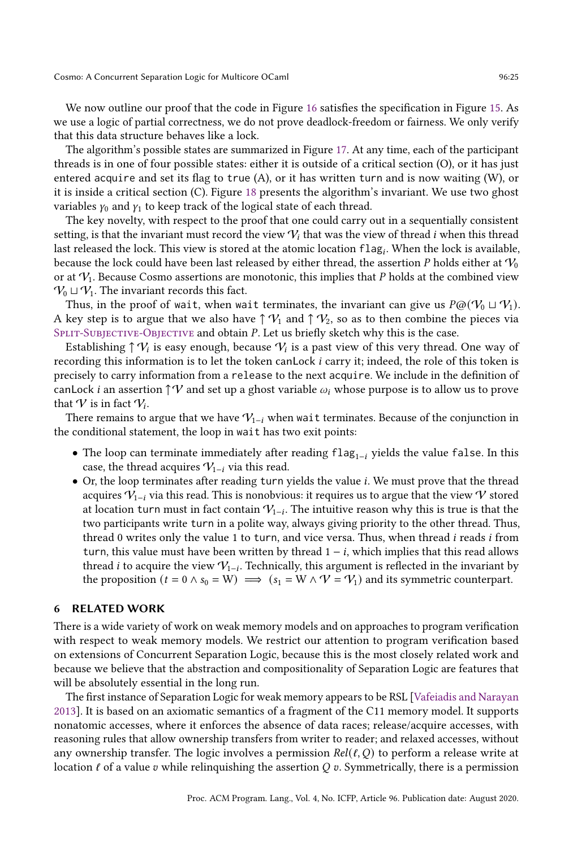We now outline our proof that the code in Figure [16](#page-22-2) satisfies the specification in Figure [15.](#page-22-1) As we use a logic of partial correctness, we do not prove deadlock-freedom or fairness. We only verify that this data structure behaves like a lock.

The algorithm's possible states are summarized in Figure [17.](#page-23-0) At any time, each of the participant threads is in one of four possible states: either it is outside of a critical section (O), or it has just entered acquire and set its flag to true  $(A)$ , or it has written turn and is now waiting  $(W)$ , or it is inside a critical section (C). Figure [18](#page-23-1) presents the algorithm's invariant. We use two ghost variables  $\gamma_0$  and  $\gamma_1$  to keep track of the logical state of each thread.

The key novelty, with respect to the proof that one could carry out in a sequentially consistent setting, is that the invariant must record the view  $V_i$  that was the view of thread *i* when this thread last released the lock. This view is stored at the atomic location  $\mathsf{flag}_i$ . When the lock is available, because the lock could have been last released by either thread, the assertion  $P$  holds either at  $V_0$ or at  $V_1$ . Because Cosmo assertions are monotonic, this implies that P holds at the combined view  $V_0 \sqcup V_1$ . The invariant records this fact.

Thus, in the proof of wait, when wait terminates, the invariant can give us  $P@(\mathcal{V}_0 \sqcup \mathcal{V}_1)$ . A key step is to argue that we also have  $\uparrow \mathcal{V}_1$  and  $\uparrow \mathcal{V}_2$ , so as to then combine the pieces via SPLIT-SUBJECTIVE-OBJECTIVE and obtain P. Let us briefly sketch why this is the case.

Establishing  $\uparrow \mathcal{V}_i$  is easy enough, because  $\mathcal{V}_i$  is a past view of this very thread. One way of recording this information is to let the token can Lock *i* carry it; indeed, the role of this token is precisely to carry information from a release to the next acquire. We include in the definition of canLock *i* an assertion  $\uparrow \mathcal{V}$  and set up a ghost variable  $\omega_i$  whose purpose is to allow us to prove that  $V$  is in fact  $\mathcal{V}_i$ .

There remains to argue that we have  $V_{1-i}$  when wait terminates. Because of the conjunction in the conditional statement, the loop in wait has two exit points:

- The loop can terminate immediately after reading  $flag_{1-i}$  yields the value false. In this case, the thread acquires  $V_{1-i}$  via this read.
- Or, the loop terminates after reading turn yields the value . We must prove that the thread acquires  $V_{1-i}$  via this read. This is nonobvious: it requires us to argue that the view V stored at location turn must in fact contain  $\mathcal{V}_{1-i}.$  The intuitive reason why this is true is that the two participants write turn in a polite way, always giving priority to the other thread. Thus, thread 0 writes only the value 1 to turn, and vice versa. Thus, when thread  $i$  reads  $i$  from turn, this value must have been written by thread  $1 - i$ , which implies that this read allows thread *i* to acquire the view  $\mathcal{V}_{1-i}$ . Technically, this argument is reflected in the invariant by the proposition  $(t = 0 \land s_0 = W) \implies (s_1 = W \land V = V_1)$  and its symmetric counterpart.

# 6 RELATED WORK

There is a wide variety of work on weak memory models and on approaches to program verification with respect to weak memory models. We restrict our attention to program verification based on extensions of Concurrent Separation Logic, because this is the most closely related work and because we believe that the abstraction and compositionality of Separation Logic are features that will be absolutely essential in the long run.

The first instance of Separation Logic for weak memory appears to be RSL [\[Vafeiadis and Narayan](#page-28-9) [2013\]](#page-28-9). It is based on an axiomatic semantics of a fragment of the C11 memory model. It supports nonatomic accesses, where it enforces the absence of data races; release/acquire accesses, with reasoning rules that allow ownership transfers from writer to reader; and relaxed accesses, without any ownership transfer. The logic involves a permission  $Rel(\ell, Q)$  to perform a release write at location  $\ell$  of a value  $\upsilon$  while relinquishing the assertion  $Q \upsilon$ . Symmetrically, there is a permission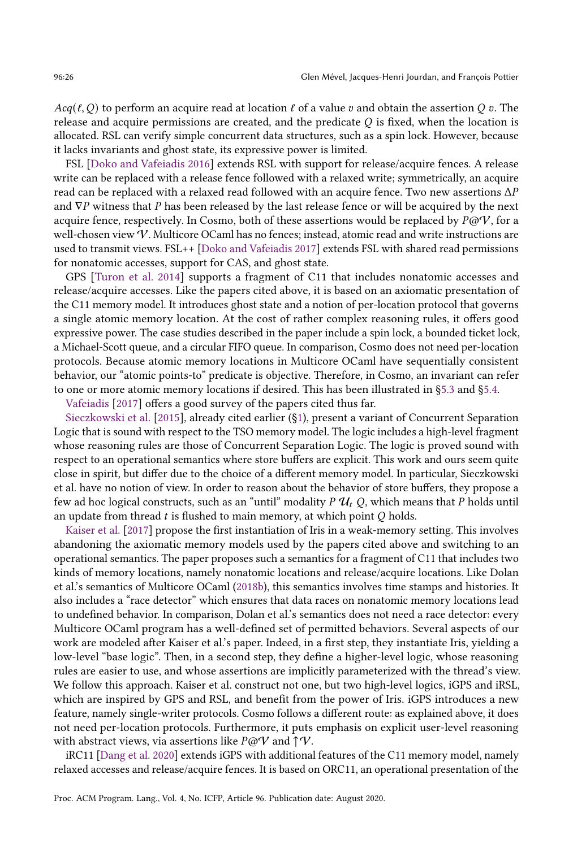$Acq(\ell, Q)$  to perform an acquire read at location  $\ell$  of a value  $\upsilon$  and obtain the assertion  $Q \upsilon$ . The release and acquire permissions are created, and the predicate  $Q$  is fixed, when the location is allocated. RSL can verify simple concurrent data structures, such as a spin lock. However, because it lacks invariants and ghost state, its expressive power is limited.

FSL [\[Doko and Vafeiadis 2016\]](#page-27-17) extends RSL with support for release/acquire fences. A release write can be replaced with a release fence followed with a relaxed write; symmetrically, an acquire read can be replaced with a relaxed read followed with an acquire fence. Two new assertions  $\Delta P$ and  $\nabla P$  witness that  $P$  has been released by the last release fence or will be acquired by the next acquire fence, respectively. In Cosmo, both of these assertions would be replaced by  $P\omega V$ , for a well-chosen view V. Multicore OCaml has no fences; instead, atomic read and write instructions are used to transmit views. FSL++ [\[Doko and Vafeiadis 2017\]](#page-27-18) extends FSL with shared read permissions for nonatomic accesses, support for CAS, and ghost state.

GPS [\[Turon et al.](#page-28-10) [2014\]](#page-28-10) supports a fragment of C11 that includes nonatomic accesses and release/acquire accesses. Like the papers cited above, it is based on an axiomatic presentation of the C11 memory model. It introduces ghost state and a notion of per-location protocol that governs a single atomic memory location. At the cost of rather complex reasoning rules, it offers good expressive power. The case studies described in the paper include a spin lock, a bounded ticket lock, a Michael-Scott queue, and a circular FIFO queue. In comparison, Cosmo does not need per-location protocols. Because atomic memory locations in Multicore OCaml have sequentially consistent behavior, our "atomic points-to" predicate is objective. Therefore, in Cosmo, an invariant can refer to one or more atomic memory locations if desired. This has been illustrated in [ğ5.3](#page-20-0) and [ğ5.4.](#page-22-0)

[Vafeiadis](#page-28-11) [\[2017\]](#page-28-11) offers a good survey of the papers cited thus far.

[Sieczkowski et al.](#page-28-2) [\[2015\]](#page-28-2), already cited earlier ([ğ1\)](#page-0-0), present a variant of Concurrent Separation Logic that is sound with respect to the TSO memory model. The logic includes a high-level fragment whose reasoning rules are those of Concurrent Separation Logic. The logic is proved sound with respect to an operational semantics where store buffers are explicit. This work and ours seem quite close in spirit, but differ due to the choice of a different memory model. In particular, Sieczkowski et al. have no notion of view. In order to reason about the behavior of store buffers, they propose a few ad hoc logical constructs, such as an "until" modality  $P \mathcal{U}_t Q$ , which means that P holds until an update from thread  $t$  is flushed to main memory, at which point  $Q$  holds.

[Kaiser et al.](#page-27-8) [\[2017\]](#page-27-8) propose the first instantiation of Iris in a weak-memory setting. This involves abandoning the axiomatic memory models used by the papers cited above and switching to an operational semantics. The paper proposes such a semantics for a fragment of C11 that includes two kinds of memory locations, namely nonatomic locations and release/acquire locations. Like Dolan et al.'s semantics of Multicore OCaml [\(2018b\)](#page-27-2), this semantics involves time stamps and histories. It also includes a "race detector" which ensures that data races on nonatomic memory locations lead to undefined behavior. In comparison, Dolan et al.'s semantics does not need a race detector: every Multicore OCaml program has a well-defined set of permitted behaviors. Several aspects of our work are modeled after Kaiser et al.'s paper. Indeed, in a first step, they instantiate Iris, yielding a low-level "base logic". Then, in a second step, they define a higher-level logic, whose reasoning rules are easier to use, and whose assertions are implicitly parameterized with the thread's view. We follow this approach. Kaiser et al. construct not one, but two high-level logics, iGPS and iRSL, which are inspired by GPS and RSL, and benefit from the power of Iris. iGPS introduces a new feature, namely single-writer protocols. Cosmo follows a different route: as explained above, it does not need per-location protocols. Furthermore, it puts emphasis on explicit user-level reasoning with abstract views, via assertions like  $P@V$  and  $\uparrow V$ .

iRC11 [\[Dang et al.](#page-27-10) [2020\]](#page-27-10) extends iGPS with additional features of the C11 memory model, namely relaxed accesses and release/acquire fences. It is based on ORC11, an operational presentation of the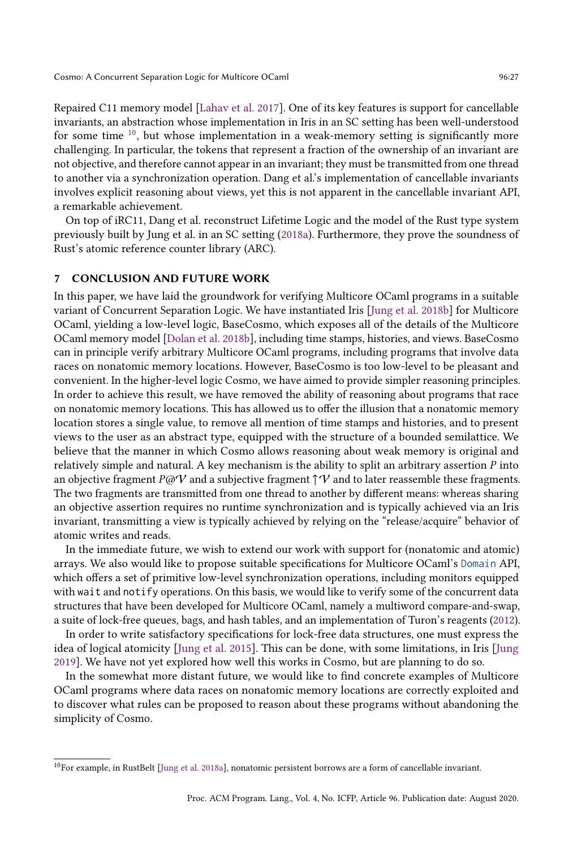Repaired C11 memory model [\[Lahav et al.](#page-27-5) [2017\]](#page-27-5). One of its key features is support for cancellable invariants, an abstraction whose implementation in Iris in an SC setting has been well-understood for some time  $10$ , but whose implementation in a weak-memory setting is significantly more challenging. In particular, the tokens that represent a fraction of the ownership of an invariant are not objective, and therefore cannot appear in an invariant; they must be transmitted from one thread to another via a synchronization operation. Dang et al.'s implementation of cancellable invariants involves explicit reasoning about views, yet this is not apparent in the cancellable invariant API, a remarkable achievement.

On top of iRC11, Dang et al. reconstruct Lifetime Logic and the model of the Rust type system previously built by Jung et al. in an SC setting [\(2018a\)](#page-27-19). Furthermore, they prove the soundness of Rust's atomic reference counter library (ARC).

## 7 CONCLUSION AND FUTURE WORK

In this paper, we have laid the groundwork for verifying Multicore OCaml programs in a suitable variant of Concurrent Separation Logic. We have instantiated Iris [\[Jung et al.](#page-27-9) [2018b\]](#page-27-9) for Multicore OCaml, yielding a low-level logic, BaseCosmo, which exposes all of the details of the Multicore OCaml memory model [\[Dolan et al.](#page-27-2) [2018b\]](#page-27-2), including time stamps, histories, and views. BaseCosmo can in principle verify arbitrary Multicore OCaml programs, including programs that involve data races on nonatomic memory locations. However, BaseCosmo is too low-level to be pleasant and convenient. In the higher-level logic Cosmo, we have aimed to provide simpler reasoning principles. In order to achieve this result, we have removed the ability of reasoning about programs that race on nonatomic memory locations. This has allowed us to offer the illusion that a nonatomic memory location stores a single value, to remove all mention of time stamps and histories, and to present views to the user as an abstract type, equipped with the structure of a bounded semilattice. We believe that the manner in which Cosmo allows reasoning about weak memory is original and relatively simple and natural. A key mechanism is the ability to split an arbitrary assertion  $P$  into an objective fragment  $P\omega V$  and a subjective fragment  $\uparrow V$  and to later reassemble these fragments. The two fragments are transmitted from one thread to another by different means: whereas sharing an objective assertion requires no runtime synchronization and is typically achieved via an Iris invariant, transmitting a view is typically achieved by relying on the "release/acquire" behavior of atomic writes and reads.

In the immediate future, we wish to extend our work with support for (nonatomic and atomic) arrays. We also would like to propose suitable specifications for Multicore OCaml's [Domain](https://github.com/ocaml-multicore/ocaml-multicore/blob/master/stdlib/domain.mli) API, which offers a set of primitive low-level synchronization operations, including monitors equipped with wait and notify operations. On this basis, we would like to verify some of the concurrent data structures that have been developed for Multicore OCaml, namely a multiword compare-and-swap, a suite of lock-free queues, bags, and hash tables, and an implementation of Turon's reagents [\(2012\)](#page-28-12).

In order to write satisfactory specifications for lock-free data structures, one must express the idea of logical atomicity [\[Jung et al.](#page-27-20) [2015\]](#page-27-20). This can be done, with some limitations, in Iris [\[Jung](#page-27-21) [2019\]](#page-27-21). We have not yet explored how well this works in Cosmo, but are planning to do so.

In the somewhat more distant future, we would like to find concrete examples of Multicore OCaml programs where data races on nonatomic memory locations are correctly exploited and to discover what rules can be proposed to reason about these programs without abandoning the simplicity of Cosmo.

<span id="page-26-0"></span> $10$ For example, in RustBelt [\[Jung et al. 2018a\]](#page-27-19), nonatomic persistent borrows are a form of cancellable invariant.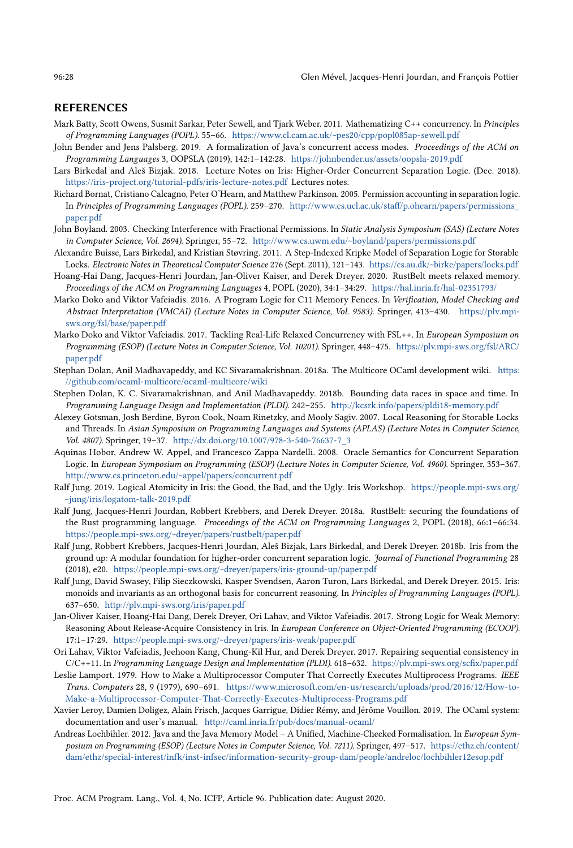## REFERENCES

- <span id="page-27-4"></span>Mark Batty, Scott Owens, Susmit Sarkar, Peter Sewell, and Tjark Weber. 2011. Mathematizing C++ concurrency. In Principles of Programming Languages (POPL). 55-66. <https://www.cl.cam.ac.uk/~pes20/cpp/popl085ap-sewell.pdf>
- <span id="page-27-7"></span>John Bender and Jens Palsberg. 2019. A formalization of Java's concurrent access modes. Proceedings of the ACM on Programming Languages 3, OOPSLA (2019), 142:1-142:28. <https://johnbender.us/assets/oopsla-2019.pdf>
- <span id="page-27-16"></span>Lars Birkedal and Aleš Bizjak. 2018. Lecture Notes on Iris: Higher-Order Concurrent Separation Logic. (Dec. 2018). <https://iris-project.org/tutorial-pdfs/iris-lecture-notes.pdf> Lectures notes.
- <span id="page-27-14"></span>Richard Bornat, Cristiano Calcagno, Peter O'Hearn, and Matthew Parkinson. 2005. Permission accounting in separation logic. In Principles of Programming Languages (POPL). 259-270. [http://www.cs.ucl.ac.uk/staff/p.ohearn/papers/permissions\\_](http://www.cs.ucl.ac.uk/staff/p.ohearn/papers/permissions_paper.pdf) [paper.pdf](http://www.cs.ucl.ac.uk/staff/p.ohearn/papers/permissions_paper.pdf)
- <span id="page-27-13"></span>John Boyland. 2003. Checking Interference with Fractional Permissions. In Static Analysis Symposium (SAS) (Lecture Notes in Computer Science, Vol. 2694). Springer, 55-72. <http://www.cs.uwm.edu/~boyland/papers/permissions.pdf>
- <span id="page-27-15"></span>Alexandre Buisse, Lars Birkedal, and Kristian Støvring. 2011. A Step-Indexed Kripke Model of Separation Logic for Storable Locks. Electronic Notes in Theoretical Computer Science 276 (Sept. 2011), 121-143. <https://cs.au.dk/~birke/papers/locks.pdf>
- <span id="page-27-10"></span>Hoang-Hai Dang, Jacques-Henri Jourdan, Jan-Oliver Kaiser, and Derek Dreyer. 2020. RustBelt meets relaxed memory. Proceedings of the ACM on Programming Languages 4, POPL (2020), 34:1-34:29. <https://hal.inria.fr/hal-02351793/>
- <span id="page-27-17"></span>Marko Doko and Viktor Vafeiadis. 2016. A Program Logic for C11 Memory Fences. In Verification, Model Checking and Abstract Interpretation (VMCAI) (Lecture Notes in Computer Science, Vol. 9583). Springer, 413-430. [https://plv.mpi](https://plv.mpi-sws.org/fsl/base/paper.pdf)[sws.org/fsl/base/paper.pdf](https://plv.mpi-sws.org/fsl/base/paper.pdf)
- <span id="page-27-18"></span>Marko Doko and Viktor Vafeiadis. 2017. Tackling Real-Life Relaxed Concurrency with FSL++. In European Symposium on Programming (ESOP) (Lecture Notes in Computer Science, Vol. 10201). Springer, 448-475. [https://plv.mpi-sws.org/fsl/ARC/](https://plv.mpi-sws.org/fsl/ARC/paper.pdf) [paper.pdf](https://plv.mpi-sws.org/fsl/ARC/paper.pdf)
- <span id="page-27-0"></span>Stephan Dolan, Anil Madhavapeddy, and KC Sivaramakrishnan. 2018a. The Multicore OCaml development wiki. [https:](https://github.com/ocaml-multicore/ocaml-multicore/wiki) [//github.com/ocaml-multicore/ocaml-multicore/wiki](https://github.com/ocaml-multicore/ocaml-multicore/wiki)
- <span id="page-27-2"></span>Stephen Dolan, K. C. Sivaramakrishnan, and Anil Madhavapeddy. 2018b. Bounding data races in space and time. In Programming Language Design and Implementation (PLDI). 242-255. <http://kcsrk.info/papers/pldi18-memory.pdf>
- <span id="page-27-11"></span>Alexey Gotsman, Josh Berdine, Byron Cook, Noam Rinetzky, and Mooly Sagiv. 2007. Local Reasoning for Storable Locks and Threads. In Asian Symposium on Programming Languages and Systems (APLAS) (Lecture Notes in Computer Science, Vol. 4807). Springer, 19-37. [http://dx.doi.org/10.1007/978-3-540-76637-7\\_3](http://dx.doi.org/10.1007/978-3-540-76637-7_3)
- <span id="page-27-12"></span>Aquinas Hobor, Andrew W. Appel, and Francesco Zappa Nardelli. 2008. Oracle Semantics for Concurrent Separation Logic. In European Symposium on Programming (ESOP) (Lecture Notes in Computer Science, Vol. 4960). Springer, 353-367. <http://www.cs.princeton.edu/~appel/papers/concurrent.pdf>
- <span id="page-27-21"></span>Ralf Jung. 2019. Logical Atomicity in Iris: the Good, the Bad, and the Ugly. Iris Workshop. [https://people.mpi-sws.org/](https://people.mpi-sws.org/~jung/iris/logatom-talk-2019.pdf) [~jung/iris/logatom-talk-2019.pdf](https://people.mpi-sws.org/~jung/iris/logatom-talk-2019.pdf)
- <span id="page-27-19"></span>Ralf Jung, Jacques-Henri Jourdan, Robbert Krebbers, and Derek Dreyer. 2018a. RustBelt: securing the foundations of the Rust programming language. Proceedings of the ACM on Programming Languages 2, POPL (2018), 66:1–66:34. <https://people.mpi-sws.org/~dreyer/papers/rustbelt/paper.pdf>
- <span id="page-27-9"></span>Ralf Jung, Robbert Krebbers, Jacques-Henri Jourdan, Aleš Bizjak, Lars Birkedal, and Derek Dreyer. 2018b. Iris from the ground up: A modular foundation for higher-order concurrent separation logic. Journal of Functional Programming 28 (2018), e20. <https://people.mpi-sws.org/~dreyer/papers/iris-ground-up/paper.pdf>
- <span id="page-27-20"></span>Ralf Jung, David Swasey, Filip Sieczkowski, Kasper Svendsen, Aaron Turon, Lars Birkedal, and Derek Dreyer. 2015. Iris: monoids and invariants as an orthogonal basis for concurrent reasoning. In Principles of Programming Languages (POPL). 637-650. <http://plv.mpi-sws.org/iris/paper.pdf>
- <span id="page-27-8"></span>Jan-Oliver Kaiser, Hoang-Hai Dang, Derek Dreyer, Ori Lahav, and Viktor Vafeiadis. 2017. Strong Logic for Weak Memory: Reasoning About Release-Acquire Consistency in Iris. In European Conference on Object-Oriented Programming (ECOOP). 17:1-17:29. <https://people.mpi-sws.org/~dreyer/papers/iris-weak/paper.pdf>
- <span id="page-27-5"></span>Ori Lahav, Viktor Vafeiadis, Jeehoon Kang, Chung-Kil Hur, and Derek Dreyer. 2017. Repairing sequential consistency in C/C++11. In Programming Language Design and Implementation (PLDI). 618-632. <https://plv.mpi-sws.org/scfix/paper.pdf>
- <span id="page-27-3"></span>Leslie Lamport. 1979. How to Make a Multiprocessor Computer That Correctly Executes Multiprocess Programs. IEEE Trans. Computers 28, 9 (1979), 690–691. [https://www.microsoft.com/en-us/research/uploads/prod/2016/12/How-to-](https://www.microsoft.com/en-us/research/uploads/prod/2016/12/How-to-Make-a-Multiprocessor-Computer-That-Correctly-Executes-Multiprocess-Programs.pdf)[Make-a-Multiprocessor-Computer-That-Correctly-Executes-Multiprocess-Programs.pdf](https://www.microsoft.com/en-us/research/uploads/prod/2016/12/How-to-Make-a-Multiprocessor-Computer-That-Correctly-Executes-Multiprocess-Programs.pdf)
- <span id="page-27-1"></span>Xavier Leroy, Damien Doligez, Alain Frisch, Jacques Garrigue, Didier Rémy, and Jérôme Vouillon. 2019. The OCaml system: documentation and user's manual. <http://caml.inria.fr/pub/docs/manual-ocaml/>
- <span id="page-27-6"></span>Andreas Lochbihler. 2012. Java and the Java Memory Model - A Unified, Machine-Checked Formalisation. In European Symposium on Programming (ESOP) (Lecture Notes in Computer Science, Vol. 7211). Springer, 497-517. [https://ethz.ch/content/](https://ethz.ch/content/dam/ethz/special-interest/infk/inst-infsec/information-security-group-dam/people/andreloc/lochbihler12esop.pdf) [dam/ethz/special-interest/infk/inst-infsec/information-security-group-dam/people/andreloc/lochbihler12esop.pdf](https://ethz.ch/content/dam/ethz/special-interest/infk/inst-infsec/information-security-group-dam/people/andreloc/lochbihler12esop.pdf)